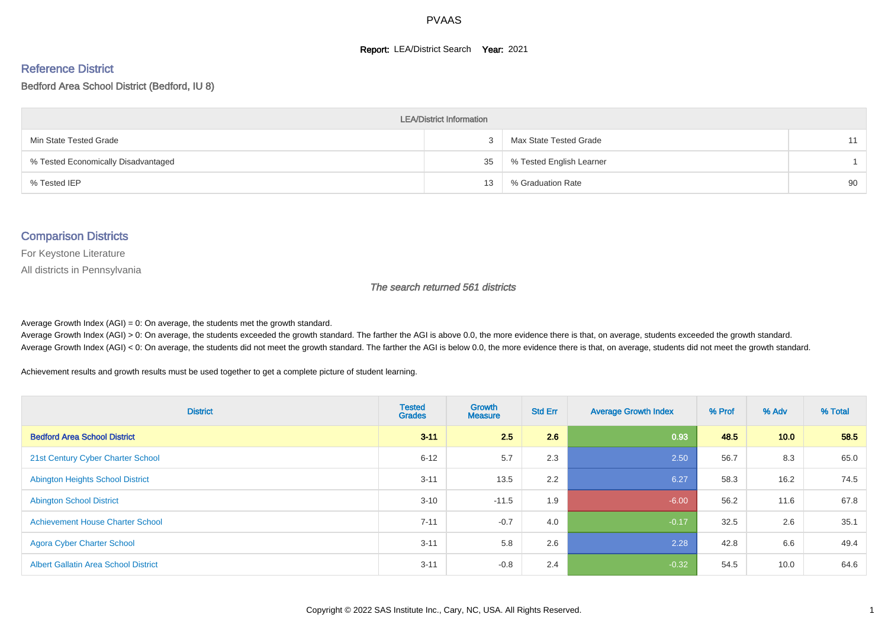#### **Report: LEA/District Search Year: 2021**

# Reference District

#### Bedford Area School District (Bedford, IU 8)

| <b>LEA/District Information</b>     |    |                          |    |  |  |  |  |  |  |  |
|-------------------------------------|----|--------------------------|----|--|--|--|--|--|--|--|
| Min State Tested Grade              |    | Max State Tested Grade   | 11 |  |  |  |  |  |  |  |
| % Tested Economically Disadvantaged | 35 | % Tested English Learner |    |  |  |  |  |  |  |  |
| % Tested IEP                        | 13 | % Graduation Rate        | 90 |  |  |  |  |  |  |  |

#### Comparison Districts

For Keystone Literature

All districts in Pennsylvania

The search returned 561 districts

Average Growth Index  $(AGI) = 0$ : On average, the students met the growth standard.

Average Growth Index (AGI) > 0: On average, the students exceeded the growth standard. The farther the AGI is above 0.0, the more evidence there is that, on average, students exceeded the growth standard. Average Growth Index (AGI) < 0: On average, the students did not meet the growth standard. The farther the AGI is below 0.0, the more evidence there is that, on average, students did not meet the growth standard.

Achievement results and growth results must be used together to get a complete picture of student learning.

| <b>District</b>                             | <b>Tested</b><br><b>Grades</b> | <b>Growth</b><br><b>Measure</b> | <b>Std Err</b> | <b>Average Growth Index</b> | % Prof | % Adv | % Total |
|---------------------------------------------|--------------------------------|---------------------------------|----------------|-----------------------------|--------|-------|---------|
| <b>Bedford Area School District</b>         | $3 - 11$                       | 2.5                             | 2.6            | 0.93                        | 48.5   | 10.0  | 58.5    |
| 21st Century Cyber Charter School           | $6 - 12$                       | 5.7                             | 2.3            | 2.50                        | 56.7   | 8.3   | 65.0    |
| <b>Abington Heights School District</b>     | $3 - 11$                       | 13.5                            | 2.2            | 6.27                        | 58.3   | 16.2  | 74.5    |
| <b>Abington School District</b>             | $3 - 10$                       | $-11.5$                         | 1.9            | $-6.00$                     | 56.2   | 11.6  | 67.8    |
| <b>Achievement House Charter School</b>     | $7 - 11$                       | $-0.7$                          | 4.0            | $-0.17$                     | 32.5   | 2.6   | 35.1    |
| <b>Agora Cyber Charter School</b>           | $3 - 11$                       | 5.8                             | 2.6            | 2.28                        | 42.8   | 6.6   | 49.4    |
| <b>Albert Gallatin Area School District</b> | $3 - 11$                       | $-0.8$                          | 2.4            | $-0.32$                     | 54.5   | 10.0  | 64.6    |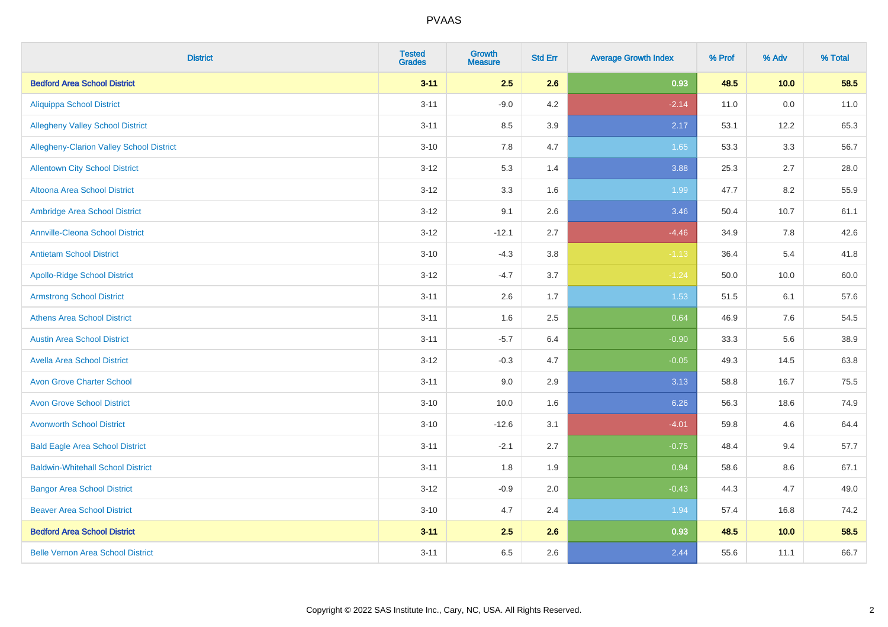| <b>District</b>                          | <b>Tested</b><br><b>Grades</b> | <b>Growth</b><br><b>Measure</b> | <b>Std Err</b> | <b>Average Growth Index</b> | % Prof | % Adv | % Total |
|------------------------------------------|--------------------------------|---------------------------------|----------------|-----------------------------|--------|-------|---------|
| <b>Bedford Area School District</b>      | $3 - 11$                       | 2.5                             | 2.6            | 0.93                        | 48.5   | 10.0  | 58.5    |
| <b>Aliquippa School District</b>         | $3 - 11$                       | $-9.0$                          | 4.2            | $-2.14$                     | 11.0   | 0.0   | 11.0    |
| <b>Allegheny Valley School District</b>  | $3 - 11$                       | 8.5                             | 3.9            | 2.17                        | 53.1   | 12.2  | 65.3    |
| Allegheny-Clarion Valley School District | $3 - 10$                       | 7.8                             | 4.7            | 1.65                        | 53.3   | 3.3   | 56.7    |
| <b>Allentown City School District</b>    | $3 - 12$                       | 5.3                             | 1.4            | 3.88                        | 25.3   | 2.7   | 28.0    |
| <b>Altoona Area School District</b>      | $3 - 12$                       | 3.3                             | 1.6            | 1.99                        | 47.7   | 8.2   | 55.9    |
| Ambridge Area School District            | $3 - 12$                       | 9.1                             | 2.6            | 3.46                        | 50.4   | 10.7  | 61.1    |
| <b>Annville-Cleona School District</b>   | $3 - 12$                       | $-12.1$                         | 2.7            | $-4.46$                     | 34.9   | 7.8   | 42.6    |
| <b>Antietam School District</b>          | $3 - 10$                       | $-4.3$                          | 3.8            | $-1.13$                     | 36.4   | 5.4   | 41.8    |
| <b>Apollo-Ridge School District</b>      | $3 - 12$                       | $-4.7$                          | 3.7            | $-1.24$                     | 50.0   | 10.0  | 60.0    |
| <b>Armstrong School District</b>         | $3 - 11$                       | 2.6                             | 1.7            | 1.53                        | 51.5   | 6.1   | 57.6    |
| <b>Athens Area School District</b>       | $3 - 11$                       | 1.6                             | 2.5            | 0.64                        | 46.9   | 7.6   | 54.5    |
| <b>Austin Area School District</b>       | $3 - 11$                       | $-5.7$                          | 6.4            | $-0.90$                     | 33.3   | 5.6   | 38.9    |
| <b>Avella Area School District</b>       | $3 - 12$                       | $-0.3$                          | 4.7            | $-0.05$                     | 49.3   | 14.5  | 63.8    |
| <b>Avon Grove Charter School</b>         | $3 - 11$                       | 9.0                             | 2.9            | 3.13                        | 58.8   | 16.7  | 75.5    |
| <b>Avon Grove School District</b>        | $3 - 10$                       | 10.0                            | 1.6            | 6.26                        | 56.3   | 18.6  | 74.9    |
| <b>Avonworth School District</b>         | $3 - 10$                       | $-12.6$                         | 3.1            | $-4.01$                     | 59.8   | 4.6   | 64.4    |
| <b>Bald Eagle Area School District</b>   | $3 - 11$                       | $-2.1$                          | 2.7            | $-0.75$                     | 48.4   | 9.4   | 57.7    |
| <b>Baldwin-Whitehall School District</b> | $3 - 11$                       | 1.8                             | 1.9            | 0.94                        | 58.6   | 8.6   | 67.1    |
| <b>Bangor Area School District</b>       | $3 - 12$                       | $-0.9$                          | 2.0            | $-0.43$                     | 44.3   | 4.7   | 49.0    |
| <b>Beaver Area School District</b>       | $3 - 10$                       | 4.7                             | 2.4            | 1.94                        | 57.4   | 16.8  | 74.2    |
| <b>Bedford Area School District</b>      | $3 - 11$                       | 2.5                             | 2.6            | 0.93                        | 48.5   | 10.0  | 58.5    |
| <b>Belle Vernon Area School District</b> | $3 - 11$                       | 6.5                             | 2.6            | 2.44                        | 55.6   | 11.1  | 66.7    |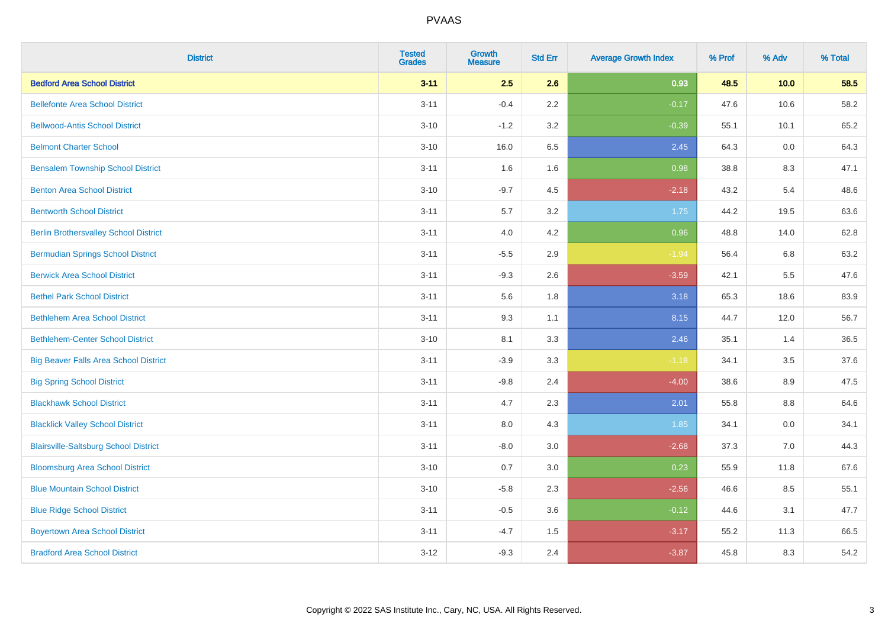| <b>District</b>                              | <b>Tested</b><br><b>Grades</b> | <b>Growth</b><br><b>Measure</b> | <b>Std Err</b> | <b>Average Growth Index</b> | % Prof | % Adv | % Total |
|----------------------------------------------|--------------------------------|---------------------------------|----------------|-----------------------------|--------|-------|---------|
| <b>Bedford Area School District</b>          | $3 - 11$                       | 2.5                             | 2.6            | 0.93                        | 48.5   | 10.0  | 58.5    |
| <b>Bellefonte Area School District</b>       | $3 - 11$                       | $-0.4$                          | 2.2            | $-0.17$                     | 47.6   | 10.6  | 58.2    |
| <b>Bellwood-Antis School District</b>        | $3 - 10$                       | $-1.2$                          | 3.2            | $-0.39$                     | 55.1   | 10.1  | 65.2    |
| <b>Belmont Charter School</b>                | $3 - 10$                       | 16.0                            | 6.5            | 2.45                        | 64.3   | 0.0   | 64.3    |
| <b>Bensalem Township School District</b>     | $3 - 11$                       | 1.6                             | 1.6            | 0.98                        | 38.8   | 8.3   | 47.1    |
| <b>Benton Area School District</b>           | $3 - 10$                       | $-9.7$                          | 4.5            | $-2.18$                     | 43.2   | 5.4   | 48.6    |
| <b>Bentworth School District</b>             | $3 - 11$                       | 5.7                             | 3.2            | 1.75                        | 44.2   | 19.5  | 63.6    |
| <b>Berlin Brothersvalley School District</b> | $3 - 11$                       | 4.0                             | 4.2            | 0.96                        | 48.8   | 14.0  | 62.8    |
| <b>Bermudian Springs School District</b>     | $3 - 11$                       | $-5.5$                          | 2.9            | $-1.94$                     | 56.4   | 6.8   | 63.2    |
| <b>Berwick Area School District</b>          | $3 - 11$                       | $-9.3$                          | 2.6            | $-3.59$                     | 42.1   | 5.5   | 47.6    |
| <b>Bethel Park School District</b>           | $3 - 11$                       | 5.6                             | 1.8            | 3.18                        | 65.3   | 18.6  | 83.9    |
| <b>Bethlehem Area School District</b>        | $3 - 11$                       | 9.3                             | 1.1            | 8.15                        | 44.7   | 12.0  | 56.7    |
| <b>Bethlehem-Center School District</b>      | $3 - 10$                       | 8.1                             | 3.3            | 2.46                        | 35.1   | 1.4   | 36.5    |
| <b>Big Beaver Falls Area School District</b> | $3 - 11$                       | $-3.9$                          | 3.3            | $-1.18$                     | 34.1   | 3.5   | 37.6    |
| <b>Big Spring School District</b>            | $3 - 11$                       | $-9.8$                          | 2.4            | $-4.00$                     | 38.6   | 8.9   | 47.5    |
| <b>Blackhawk School District</b>             | $3 - 11$                       | 4.7                             | 2.3            | 2.01                        | 55.8   | 8.8   | 64.6    |
| <b>Blacklick Valley School District</b>      | $3 - 11$                       | 8.0                             | 4.3            | 1.85                        | 34.1   | 0.0   | 34.1    |
| <b>Blairsville-Saltsburg School District</b> | $3 - 11$                       | $-8.0$                          | 3.0            | $-2.68$                     | 37.3   | 7.0   | 44.3    |
| <b>Bloomsburg Area School District</b>       | $3 - 10$                       | 0.7                             | 3.0            | 0.23                        | 55.9   | 11.8  | 67.6    |
| <b>Blue Mountain School District</b>         | $3 - 10$                       | $-5.8$                          | 2.3            | $-2.56$                     | 46.6   | 8.5   | 55.1    |
| <b>Blue Ridge School District</b>            | $3 - 11$                       | $-0.5$                          | 3.6            | $-0.12$                     | 44.6   | 3.1   | 47.7    |
| <b>Boyertown Area School District</b>        | $3 - 11$                       | $-4.7$                          | 1.5            | $-3.17$                     | 55.2   | 11.3  | 66.5    |
| <b>Bradford Area School District</b>         | $3 - 12$                       | $-9.3$                          | 2.4            | $-3.87$                     | 45.8   | 8.3   | 54.2    |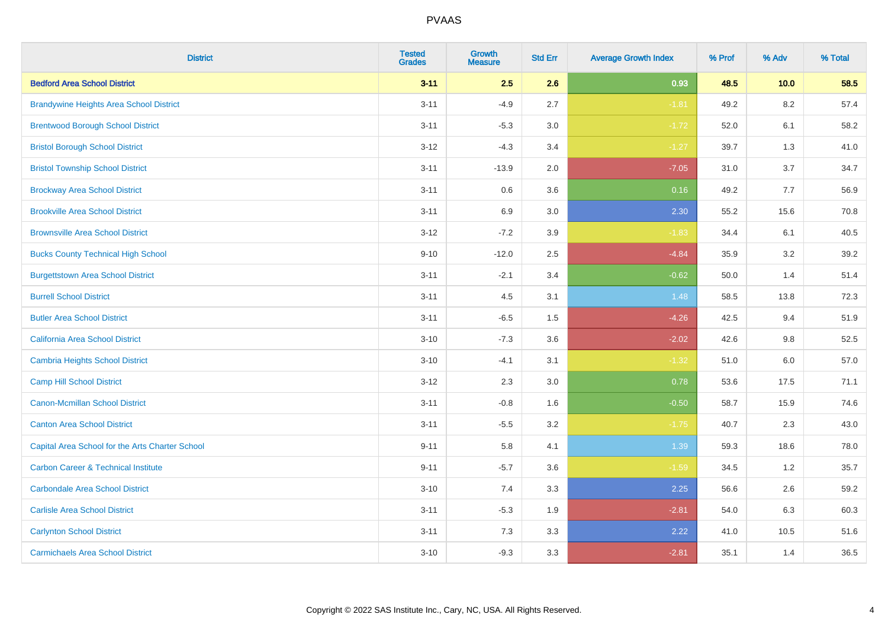| <b>District</b>                                 | <b>Tested</b><br><b>Grades</b> | <b>Growth</b><br><b>Measure</b> | <b>Std Err</b> | <b>Average Growth Index</b> | % Prof | % Adv   | % Total |
|-------------------------------------------------|--------------------------------|---------------------------------|----------------|-----------------------------|--------|---------|---------|
| <b>Bedford Area School District</b>             | $3 - 11$                       | 2.5                             | 2.6            | 0.93                        | 48.5   | 10.0    | 58.5    |
| <b>Brandywine Heights Area School District</b>  | $3 - 11$                       | $-4.9$                          | 2.7            | $-1.81$                     | 49.2   | $8.2\,$ | 57.4    |
| <b>Brentwood Borough School District</b>        | $3 - 11$                       | $-5.3$                          | 3.0            | $-1.72$                     | 52.0   | 6.1     | 58.2    |
| <b>Bristol Borough School District</b>          | $3-12$                         | $-4.3$                          | 3.4            | $-1.27$                     | 39.7   | 1.3     | 41.0    |
| <b>Bristol Township School District</b>         | $3 - 11$                       | $-13.9$                         | 2.0            | $-7.05$                     | 31.0   | 3.7     | 34.7    |
| <b>Brockway Area School District</b>            | $3 - 11$                       | 0.6                             | 3.6            | 0.16                        | 49.2   | 7.7     | 56.9    |
| <b>Brookville Area School District</b>          | $3 - 11$                       | 6.9                             | 3.0            | 2.30                        | 55.2   | 15.6    | 70.8    |
| <b>Brownsville Area School District</b>         | $3 - 12$                       | $-7.2$                          | 3.9            | $-1.83$                     | 34.4   | 6.1     | 40.5    |
| <b>Bucks County Technical High School</b>       | $9 - 10$                       | $-12.0$                         | 2.5            | $-4.84$                     | 35.9   | 3.2     | 39.2    |
| <b>Burgettstown Area School District</b>        | $3 - 11$                       | $-2.1$                          | 3.4            | $-0.62$                     | 50.0   | 1.4     | 51.4    |
| <b>Burrell School District</b>                  | $3 - 11$                       | 4.5                             | 3.1            | 1.48                        | 58.5   | 13.8    | 72.3    |
| <b>Butler Area School District</b>              | $3 - 11$                       | $-6.5$                          | 1.5            | $-4.26$                     | 42.5   | 9.4     | 51.9    |
| California Area School District                 | $3 - 10$                       | $-7.3$                          | 3.6            | $-2.02$                     | 42.6   | 9.8     | 52.5    |
| <b>Cambria Heights School District</b>          | $3 - 10$                       | $-4.1$                          | 3.1            | $-1.32$                     | 51.0   | 6.0     | 57.0    |
| <b>Camp Hill School District</b>                | $3 - 12$                       | 2.3                             | 3.0            | 0.78                        | 53.6   | 17.5    | 71.1    |
| <b>Canon-Mcmillan School District</b>           | $3 - 11$                       | $-0.8$                          | 1.6            | $-0.50$                     | 58.7   | 15.9    | 74.6    |
| <b>Canton Area School District</b>              | $3 - 11$                       | $-5.5$                          | 3.2            | $-1.75$                     | 40.7   | 2.3     | 43.0    |
| Capital Area School for the Arts Charter School | $9 - 11$                       | 5.8                             | 4.1            | 1.39                        | 59.3   | 18.6    | 78.0    |
| <b>Carbon Career &amp; Technical Institute</b>  | $9 - 11$                       | $-5.7$                          | 3.6            | $-1.59$                     | 34.5   | 1.2     | 35.7    |
| <b>Carbondale Area School District</b>          | $3 - 10$                       | 7.4                             | 3.3            | 2.25                        | 56.6   | 2.6     | 59.2    |
| <b>Carlisle Area School District</b>            | $3 - 11$                       | $-5.3$                          | 1.9            | $-2.81$                     | 54.0   | 6.3     | 60.3    |
| <b>Carlynton School District</b>                | $3 - 11$                       | 7.3                             | 3.3            | 2.22                        | 41.0   | 10.5    | 51.6    |
| <b>Carmichaels Area School District</b>         | $3 - 10$                       | $-9.3$                          | 3.3            | $-2.81$                     | 35.1   | 1.4     | 36.5    |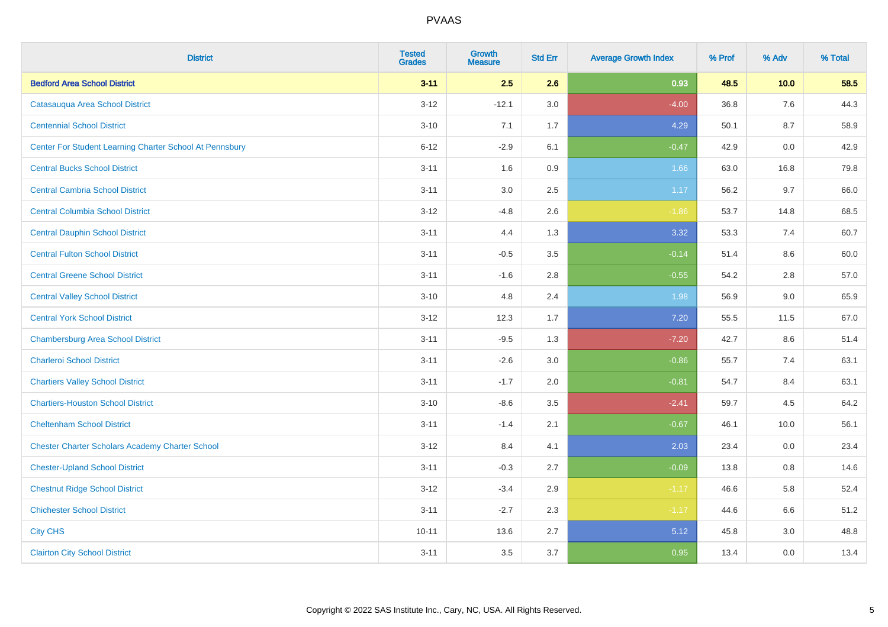| <b>District</b>                                         | <b>Tested</b><br><b>Grades</b> | <b>Growth</b><br><b>Measure</b> | <b>Std Err</b> | <b>Average Growth Index</b> | % Prof | % Adv | % Total |
|---------------------------------------------------------|--------------------------------|---------------------------------|----------------|-----------------------------|--------|-------|---------|
| <b>Bedford Area School District</b>                     | $3 - 11$                       | 2.5                             | 2.6            | 0.93                        | 48.5   | 10.0  | 58.5    |
| Catasauqua Area School District                         | $3 - 12$                       | $-12.1$                         | 3.0            | $-4.00$                     | 36.8   | 7.6   | 44.3    |
| <b>Centennial School District</b>                       | $3 - 10$                       | 7.1                             | 1.7            | 4.29                        | 50.1   | 8.7   | 58.9    |
| Center For Student Learning Charter School At Pennsbury | $6 - 12$                       | $-2.9$                          | 6.1            | $-0.47$                     | 42.9   | 0.0   | 42.9    |
| <b>Central Bucks School District</b>                    | $3 - 11$                       | 1.6                             | 0.9            | 1.66                        | 63.0   | 16.8  | 79.8    |
| <b>Central Cambria School District</b>                  | $3 - 11$                       | 3.0                             | 2.5            | 1.17                        | 56.2   | 9.7   | 66.0    |
| <b>Central Columbia School District</b>                 | $3 - 12$                       | $-4.8$                          | 2.6            | $-1.86$                     | 53.7   | 14.8  | 68.5    |
| <b>Central Dauphin School District</b>                  | $3 - 11$                       | 4.4                             | 1.3            | 3.32                        | 53.3   | 7.4   | 60.7    |
| <b>Central Fulton School District</b>                   | $3 - 11$                       | $-0.5$                          | 3.5            | $-0.14$                     | 51.4   | 8.6   | 60.0    |
| <b>Central Greene School District</b>                   | $3 - 11$                       | $-1.6$                          | 2.8            | $-0.55$                     | 54.2   | 2.8   | 57.0    |
| <b>Central Valley School District</b>                   | $3 - 10$                       | 4.8                             | 2.4            | 1.98                        | 56.9   | 9.0   | 65.9    |
| <b>Central York School District</b>                     | $3 - 12$                       | 12.3                            | 1.7            | 7.20                        | 55.5   | 11.5  | 67.0    |
| <b>Chambersburg Area School District</b>                | $3 - 11$                       | $-9.5$                          | 1.3            | $-7.20$                     | 42.7   | 8.6   | 51.4    |
| <b>Charleroi School District</b>                        | $3 - 11$                       | $-2.6$                          | 3.0            | $-0.86$                     | 55.7   | 7.4   | 63.1    |
| <b>Chartiers Valley School District</b>                 | $3 - 11$                       | $-1.7$                          | 2.0            | $-0.81$                     | 54.7   | 8.4   | 63.1    |
| <b>Chartiers-Houston School District</b>                | $3 - 10$                       | $-8.6$                          | 3.5            | $-2.41$                     | 59.7   | 4.5   | 64.2    |
| <b>Cheltenham School District</b>                       | $3 - 11$                       | $-1.4$                          | 2.1            | $-0.67$                     | 46.1   | 10.0  | 56.1    |
| <b>Chester Charter Scholars Academy Charter School</b>  | $3 - 12$                       | 8.4                             | 4.1            | 2.03                        | 23.4   | 0.0   | 23.4    |
| <b>Chester-Upland School District</b>                   | $3 - 11$                       | $-0.3$                          | 2.7            | $-0.09$                     | 13.8   | 0.8   | 14.6    |
| <b>Chestnut Ridge School District</b>                   | $3 - 12$                       | $-3.4$                          | 2.9            | $-1.17$                     | 46.6   | 5.8   | 52.4    |
| <b>Chichester School District</b>                       | $3 - 11$                       | $-2.7$                          | 2.3            | $-1.17$                     | 44.6   | 6.6   | 51.2    |
| <b>City CHS</b>                                         | $10 - 11$                      | 13.6                            | 2.7            | 5.12                        | 45.8   | 3.0   | 48.8    |
| <b>Clairton City School District</b>                    | $3 - 11$                       | 3.5                             | 3.7            | 0.95                        | 13.4   | 0.0   | 13.4    |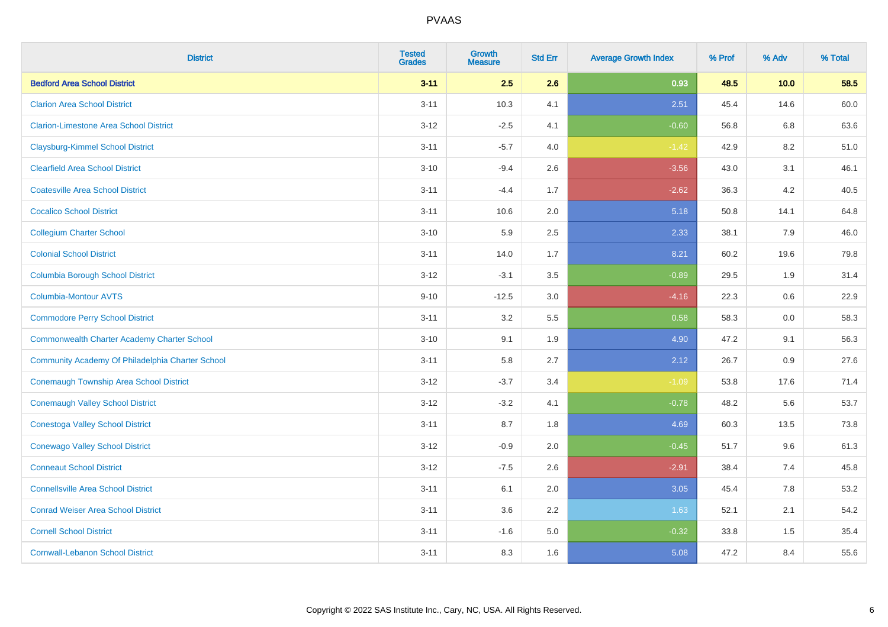| <b>District</b>                                    | <b>Tested</b><br><b>Grades</b> | <b>Growth</b><br><b>Measure</b> | <b>Std Err</b> | <b>Average Growth Index</b> | % Prof | % Adv | % Total |
|----------------------------------------------------|--------------------------------|---------------------------------|----------------|-----------------------------|--------|-------|---------|
| <b>Bedford Area School District</b>                | $3 - 11$                       | 2.5                             | 2.6            | 0.93                        | 48.5   | 10.0  | 58.5    |
| <b>Clarion Area School District</b>                | $3 - 11$                       | 10.3                            | 4.1            | 2.51                        | 45.4   | 14.6  | 60.0    |
| <b>Clarion-Limestone Area School District</b>      | $3 - 12$                       | $-2.5$                          | 4.1            | $-0.60$                     | 56.8   | 6.8   | 63.6    |
| <b>Claysburg-Kimmel School District</b>            | $3 - 11$                       | $-5.7$                          | 4.0            | $-1.42$                     | 42.9   | 8.2   | 51.0    |
| <b>Clearfield Area School District</b>             | $3 - 10$                       | $-9.4$                          | 2.6            | $-3.56$                     | 43.0   | 3.1   | 46.1    |
| <b>Coatesville Area School District</b>            | $3 - 11$                       | $-4.4$                          | 1.7            | $-2.62$                     | 36.3   | 4.2   | 40.5    |
| <b>Cocalico School District</b>                    | $3 - 11$                       | 10.6                            | 2.0            | 5.18                        | 50.8   | 14.1  | 64.8    |
| <b>Collegium Charter School</b>                    | $3 - 10$                       | 5.9                             | 2.5            | 2.33                        | 38.1   | 7.9   | 46.0    |
| <b>Colonial School District</b>                    | $3 - 11$                       | 14.0                            | 1.7            | 8.21                        | 60.2   | 19.6  | 79.8    |
| <b>Columbia Borough School District</b>            | $3 - 12$                       | $-3.1$                          | 3.5            | $-0.89$                     | 29.5   | 1.9   | 31.4    |
| <b>Columbia-Montour AVTS</b>                       | $9 - 10$                       | $-12.5$                         | 3.0            | $-4.16$                     | 22.3   | 0.6   | 22.9    |
| <b>Commodore Perry School District</b>             | $3 - 11$                       | 3.2                             | 5.5            | 0.58                        | 58.3   | 0.0   | 58.3    |
| <b>Commonwealth Charter Academy Charter School</b> | $3 - 10$                       | 9.1                             | 1.9            | 4.90                        | 47.2   | 9.1   | 56.3    |
| Community Academy Of Philadelphia Charter School   | $3 - 11$                       | 5.8                             | 2.7            | 2.12                        | 26.7   | 0.9   | 27.6    |
| <b>Conemaugh Township Area School District</b>     | $3 - 12$                       | $-3.7$                          | 3.4            | $-1.09$                     | 53.8   | 17.6  | 71.4    |
| <b>Conemaugh Valley School District</b>            | $3 - 12$                       | $-3.2$                          | 4.1            | $-0.78$                     | 48.2   | 5.6   | 53.7    |
| <b>Conestoga Valley School District</b>            | $3 - 11$                       | 8.7                             | 1.8            | 4.69                        | 60.3   | 13.5  | 73.8    |
| <b>Conewago Valley School District</b>             | $3 - 12$                       | $-0.9$                          | 2.0            | $-0.45$                     | 51.7   | 9.6   | 61.3    |
| <b>Conneaut School District</b>                    | $3 - 12$                       | $-7.5$                          | 2.6            | $-2.91$                     | 38.4   | 7.4   | 45.8    |
| <b>Connellsville Area School District</b>          | $3 - 11$                       | 6.1                             | 2.0            | 3.05                        | 45.4   | 7.8   | 53.2    |
| <b>Conrad Weiser Area School District</b>          | $3 - 11$                       | 3.6                             | 2.2            | 1.63                        | 52.1   | 2.1   | 54.2    |
| <b>Cornell School District</b>                     | $3 - 11$                       | $-1.6$                          | 5.0            | $-0.32$                     | 33.8   | 1.5   | 35.4    |
| <b>Cornwall-Lebanon School District</b>            | $3 - 11$                       | 8.3                             | 1.6            | 5.08                        | 47.2   | 8.4   | 55.6    |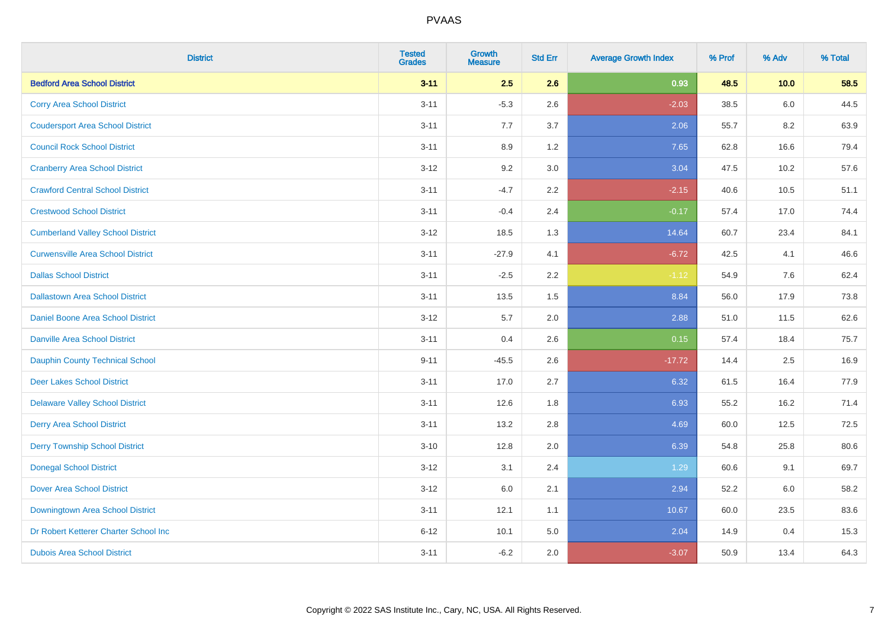| <b>District</b>                          | <b>Tested</b><br><b>Grades</b> | <b>Growth</b><br><b>Measure</b> | <b>Std Err</b> | <b>Average Growth Index</b> | % Prof | % Adv | % Total |
|------------------------------------------|--------------------------------|---------------------------------|----------------|-----------------------------|--------|-------|---------|
| <b>Bedford Area School District</b>      | $3 - 11$                       | 2.5                             | 2.6            | 0.93                        | 48.5   | 10.0  | 58.5    |
| <b>Corry Area School District</b>        | $3 - 11$                       | $-5.3$                          | 2.6            | $-2.03$                     | 38.5   | 6.0   | 44.5    |
| <b>Coudersport Area School District</b>  | $3 - 11$                       | 7.7                             | 3.7            | 2.06                        | 55.7   | 8.2   | 63.9    |
| <b>Council Rock School District</b>      | $3 - 11$                       | 8.9                             | 1.2            | 7.65                        | 62.8   | 16.6  | 79.4    |
| <b>Cranberry Area School District</b>    | $3 - 12$                       | 9.2                             | 3.0            | 3.04                        | 47.5   | 10.2  | 57.6    |
| <b>Crawford Central School District</b>  | $3 - 11$                       | $-4.7$                          | 2.2            | $-2.15$                     | 40.6   | 10.5  | 51.1    |
| <b>Crestwood School District</b>         | $3 - 11$                       | $-0.4$                          | 2.4            | $-0.17$                     | 57.4   | 17.0  | 74.4    |
| <b>Cumberland Valley School District</b> | $3 - 12$                       | 18.5                            | 1.3            | 14.64                       | 60.7   | 23.4  | 84.1    |
| <b>Curwensville Area School District</b> | $3 - 11$                       | $-27.9$                         | 4.1            | $-6.72$                     | 42.5   | 4.1   | 46.6    |
| <b>Dallas School District</b>            | $3 - 11$                       | $-2.5$                          | 2.2            | $-1.12$                     | 54.9   | 7.6   | 62.4    |
| <b>Dallastown Area School District</b>   | $3 - 11$                       | 13.5                            | 1.5            | 8.84                        | 56.0   | 17.9  | 73.8    |
| Daniel Boone Area School District        | $3 - 12$                       | 5.7                             | 2.0            | 2.88                        | 51.0   | 11.5  | 62.6    |
| <b>Danville Area School District</b>     | $3 - 11$                       | 0.4                             | 2.6            | 0.15                        | 57.4   | 18.4  | 75.7    |
| Dauphin County Technical School          | $9 - 11$                       | $-45.5$                         | 2.6            | $-17.72$                    | 14.4   | 2.5   | 16.9    |
| <b>Deer Lakes School District</b>        | $3 - 11$                       | 17.0                            | 2.7            | 6.32                        | 61.5   | 16.4  | 77.9    |
| <b>Delaware Valley School District</b>   | $3 - 11$                       | 12.6                            | 1.8            | 6.93                        | 55.2   | 16.2  | 71.4    |
| <b>Derry Area School District</b>        | $3 - 11$                       | 13.2                            | 2.8            | 4.69                        | 60.0   | 12.5  | 72.5    |
| <b>Derry Township School District</b>    | $3 - 10$                       | 12.8                            | 2.0            | 6.39                        | 54.8   | 25.8  | 80.6    |
| <b>Donegal School District</b>           | $3-12$                         | 3.1                             | 2.4            | 1.29                        | 60.6   | 9.1   | 69.7    |
| <b>Dover Area School District</b>        | $3-12$                         | 6.0                             | 2.1            | 2.94                        | 52.2   | 6.0   | 58.2    |
| Downingtown Area School District         | $3 - 11$                       | 12.1                            | 1.1            | 10.67                       | 60.0   | 23.5  | 83.6    |
| Dr Robert Ketterer Charter School Inc    | $6 - 12$                       | 10.1                            | 5.0            | 2.04                        | 14.9   | 0.4   | 15.3    |
| <b>Dubois Area School District</b>       | $3 - 11$                       | $-6.2$                          | 2.0            | $-3.07$                     | 50.9   | 13.4  | 64.3    |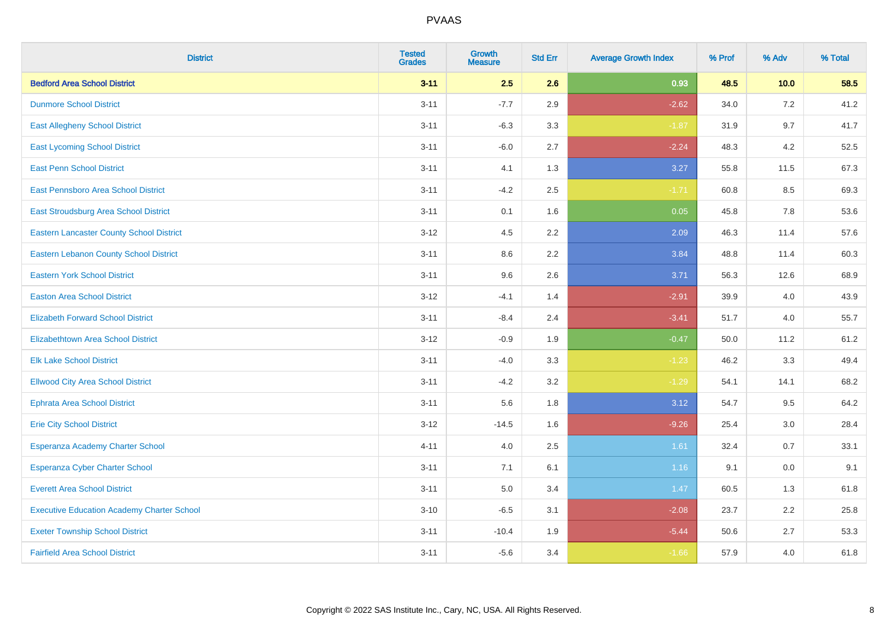| <b>District</b>                                   | <b>Tested</b><br><b>Grades</b> | <b>Growth</b><br><b>Measure</b> | <b>Std Err</b> | <b>Average Growth Index</b> | % Prof | % Adv | % Total |
|---------------------------------------------------|--------------------------------|---------------------------------|----------------|-----------------------------|--------|-------|---------|
| <b>Bedford Area School District</b>               | $3 - 11$                       | 2.5                             | 2.6            | 0.93                        | 48.5   | 10.0  | 58.5    |
| <b>Dunmore School District</b>                    | $3 - 11$                       | $-7.7$                          | 2.9            | $-2.62$                     | 34.0   | 7.2   | 41.2    |
| <b>East Allegheny School District</b>             | $3 - 11$                       | $-6.3$                          | 3.3            | $-1.87$                     | 31.9   | 9.7   | 41.7    |
| <b>East Lycoming School District</b>              | $3 - 11$                       | $-6.0$                          | 2.7            | $-2.24$                     | 48.3   | 4.2   | 52.5    |
| <b>East Penn School District</b>                  | $3 - 11$                       | 4.1                             | 1.3            | 3.27                        | 55.8   | 11.5  | 67.3    |
| <b>East Pennsboro Area School District</b>        | $3 - 11$                       | $-4.2$                          | 2.5            | $-1.71$                     | 60.8   | 8.5   | 69.3    |
| East Stroudsburg Area School District             | $3 - 11$                       | 0.1                             | 1.6            | 0.05                        | 45.8   | 7.8   | 53.6    |
| <b>Eastern Lancaster County School District</b>   | $3 - 12$                       | 4.5                             | 2.2            | 2.09                        | 46.3   | 11.4  | 57.6    |
| <b>Eastern Lebanon County School District</b>     | $3 - 11$                       | 8.6                             | 2.2            | 3.84                        | 48.8   | 11.4  | 60.3    |
| <b>Eastern York School District</b>               | $3 - 11$                       | 9.6                             | 2.6            | 3.71                        | 56.3   | 12.6  | 68.9    |
| <b>Easton Area School District</b>                | $3 - 12$                       | $-4.1$                          | 1.4            | $-2.91$                     | 39.9   | 4.0   | 43.9    |
| <b>Elizabeth Forward School District</b>          | $3 - 11$                       | $-8.4$                          | 2.4            | $-3.41$                     | 51.7   | 4.0   | 55.7    |
| <b>Elizabethtown Area School District</b>         | $3 - 12$                       | $-0.9$                          | 1.9            | $-0.47$                     | 50.0   | 11.2  | 61.2    |
| <b>Elk Lake School District</b>                   | $3 - 11$                       | $-4.0$                          | 3.3            | $-1.23$                     | 46.2   | 3.3   | 49.4    |
| <b>Ellwood City Area School District</b>          | $3 - 11$                       | $-4.2$                          | 3.2            | $-1.29$                     | 54.1   | 14.1  | 68.2    |
| <b>Ephrata Area School District</b>               | $3 - 11$                       | 5.6                             | 1.8            | 3.12                        | 54.7   | 9.5   | 64.2    |
| <b>Erie City School District</b>                  | $3 - 12$                       | $-14.5$                         | 1.6            | $-9.26$                     | 25.4   | 3.0   | 28.4    |
| Esperanza Academy Charter School                  | $4 - 11$                       | 4.0                             | 2.5            | 1.61                        | 32.4   | 0.7   | 33.1    |
| <b>Esperanza Cyber Charter School</b>             | $3 - 11$                       | 7.1                             | 6.1            | 1.16                        | 9.1    | 0.0   | 9.1     |
| <b>Everett Area School District</b>               | $3 - 11$                       | 5.0                             | 3.4            | 1.47                        | 60.5   | 1.3   | 61.8    |
| <b>Executive Education Academy Charter School</b> | $3 - 10$                       | $-6.5$                          | 3.1            | $-2.08$                     | 23.7   | 2.2   | 25.8    |
| <b>Exeter Township School District</b>            | $3 - 11$                       | $-10.4$                         | 1.9            | $-5.44$                     | 50.6   | 2.7   | 53.3    |
| <b>Fairfield Area School District</b>             | $3 - 11$                       | $-5.6$                          | 3.4            | $-1.66$                     | 57.9   | 4.0   | 61.8    |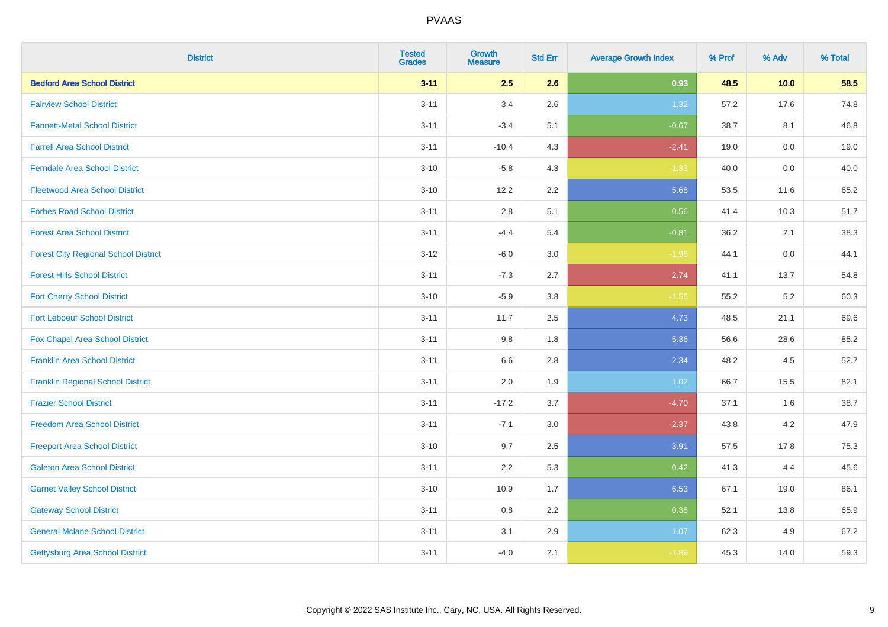| <b>District</b>                             | <b>Tested</b><br><b>Grades</b> | <b>Growth</b><br><b>Measure</b> | <b>Std Err</b> | <b>Average Growth Index</b> | % Prof | % Adv   | % Total |
|---------------------------------------------|--------------------------------|---------------------------------|----------------|-----------------------------|--------|---------|---------|
| <b>Bedford Area School District</b>         | $3 - 11$                       | 2.5                             | 2.6            | 0.93                        | 48.5   | 10.0    | 58.5    |
| <b>Fairview School District</b>             | $3 - 11$                       | 3.4                             | 2.6            | 1.32                        | 57.2   | 17.6    | 74.8    |
| <b>Fannett-Metal School District</b>        | $3 - 11$                       | $-3.4$                          | 5.1            | $-0.67$                     | 38.7   | 8.1     | 46.8    |
| <b>Farrell Area School District</b>         | $3 - 11$                       | $-10.4$                         | 4.3            | $-2.41$                     | 19.0   | $0.0\,$ | 19.0    |
| <b>Ferndale Area School District</b>        | $3 - 10$                       | $-5.8$                          | 4.3            | $-1.33$                     | 40.0   | 0.0     | 40.0    |
| <b>Fleetwood Area School District</b>       | $3 - 10$                       | 12.2                            | 2.2            | 5.68                        | 53.5   | 11.6    | 65.2    |
| <b>Forbes Road School District</b>          | $3 - 11$                       | 2.8                             | 5.1            | 0.56                        | 41.4   | 10.3    | 51.7    |
| <b>Forest Area School District</b>          | $3 - 11$                       | $-4.4$                          | 5.4            | $-0.81$                     | 36.2   | 2.1     | 38.3    |
| <b>Forest City Regional School District</b> | $3-12$                         | $-6.0$                          | 3.0            | $-1.96$                     | 44.1   | $0.0\,$ | 44.1    |
| <b>Forest Hills School District</b>         | $3 - 11$                       | $-7.3$                          | 2.7            | $-2.74$                     | 41.1   | 13.7    | 54.8    |
| <b>Fort Cherry School District</b>          | $3 - 10$                       | $-5.9$                          | 3.8            | $-1.56$                     | 55.2   | $5.2\,$ | 60.3    |
| <b>Fort Leboeuf School District</b>         | $3 - 11$                       | 11.7                            | 2.5            | 4.73                        | 48.5   | 21.1    | 69.6    |
| Fox Chapel Area School District             | $3 - 11$                       | 9.8                             | 1.8            | 5.36                        | 56.6   | 28.6    | 85.2    |
| <b>Franklin Area School District</b>        | $3 - 11$                       | 6.6                             | 2.8            | 2.34                        | 48.2   | 4.5     | 52.7    |
| <b>Franklin Regional School District</b>    | $3 - 11$                       | 2.0                             | 1.9            | 1.02                        | 66.7   | 15.5    | 82.1    |
| <b>Frazier School District</b>              | $3 - 11$                       | $-17.2$                         | 3.7            | $-4.70$                     | 37.1   | 1.6     | 38.7    |
| <b>Freedom Area School District</b>         | $3 - 11$                       | $-7.1$                          | 3.0            | $-2.37$                     | 43.8   | 4.2     | 47.9    |
| <b>Freeport Area School District</b>        | $3 - 10$                       | 9.7                             | 2.5            | 3.91                        | 57.5   | 17.8    | 75.3    |
| <b>Galeton Area School District</b>         | $3 - 11$                       | 2.2                             | 5.3            | 0.42                        | 41.3   | 4.4     | 45.6    |
| <b>Garnet Valley School District</b>        | $3 - 10$                       | 10.9                            | 1.7            | 6.53                        | 67.1   | 19.0    | 86.1    |
| <b>Gateway School District</b>              | $3 - 11$                       | 0.8                             | 2.2            | 0.38                        | 52.1   | 13.8    | 65.9    |
| <b>General Mclane School District</b>       | $3 - 11$                       | 3.1                             | 2.9            | 1.07                        | 62.3   | 4.9     | 67.2    |
| Gettysburg Area School District             | $3 - 11$                       | $-4.0$                          | 2.1            | $-1.89$                     | 45.3   | 14.0    | 59.3    |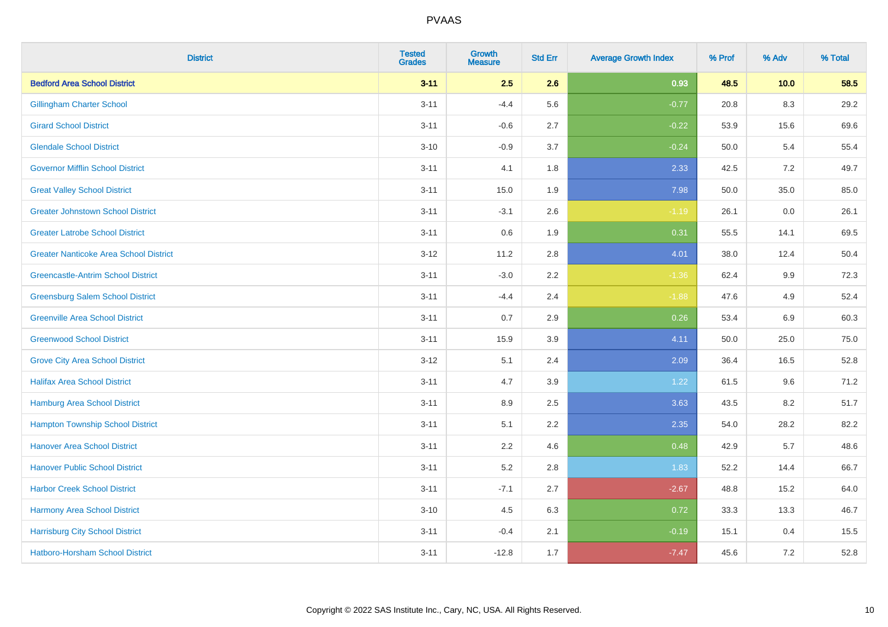| <b>District</b>                               | <b>Tested</b><br><b>Grades</b> | <b>Growth</b><br><b>Measure</b> | <b>Std Err</b> | <b>Average Growth Index</b> | % Prof | % Adv   | % Total |
|-----------------------------------------------|--------------------------------|---------------------------------|----------------|-----------------------------|--------|---------|---------|
| <b>Bedford Area School District</b>           | $3 - 11$                       | 2.5                             | 2.6            | 0.93                        | 48.5   | 10.0    | 58.5    |
| <b>Gillingham Charter School</b>              | $3 - 11$                       | $-4.4$                          | 5.6            | $-0.77$                     | 20.8   | 8.3     | 29.2    |
| <b>Girard School District</b>                 | $3 - 11$                       | $-0.6$                          | 2.7            | $-0.22$                     | 53.9   | 15.6    | 69.6    |
| <b>Glendale School District</b>               | $3 - 10$                       | $-0.9$                          | 3.7            | $-0.24$                     | 50.0   | 5.4     | 55.4    |
| <b>Governor Mifflin School District</b>       | $3 - 11$                       | 4.1                             | 1.8            | 2.33                        | 42.5   | 7.2     | 49.7    |
| <b>Great Valley School District</b>           | $3 - 11$                       | 15.0                            | 1.9            | 7.98                        | 50.0   | 35.0    | 85.0    |
| <b>Greater Johnstown School District</b>      | $3 - 11$                       | $-3.1$                          | 2.6            | $-1.19$                     | 26.1   | $0.0\,$ | 26.1    |
| <b>Greater Latrobe School District</b>        | $3 - 11$                       | 0.6                             | 1.9            | 0.31                        | 55.5   | 14.1    | 69.5    |
| <b>Greater Nanticoke Area School District</b> | $3-12$                         | 11.2                            | 2.8            | 4.01                        | 38.0   | 12.4    | 50.4    |
| <b>Greencastle-Antrim School District</b>     | $3 - 11$                       | $-3.0$                          | $2.2\,$        | $-1.36$                     | 62.4   | 9.9     | 72.3    |
| <b>Greensburg Salem School District</b>       | $3 - 11$                       | $-4.4$                          | 2.4            | $-1.88$                     | 47.6   | 4.9     | 52.4    |
| <b>Greenville Area School District</b>        | $3 - 11$                       | 0.7                             | 2.9            | 0.26                        | 53.4   | 6.9     | 60.3    |
| <b>Greenwood School District</b>              | $3 - 11$                       | 15.9                            | 3.9            | 4.11                        | 50.0   | 25.0    | 75.0    |
| <b>Grove City Area School District</b>        | $3-12$                         | 5.1                             | 2.4            | 2.09                        | 36.4   | 16.5    | 52.8    |
| <b>Halifax Area School District</b>           | $3 - 11$                       | 4.7                             | 3.9            | 1.22                        | 61.5   | 9.6     | 71.2    |
| <b>Hamburg Area School District</b>           | $3 - 11$                       | 8.9                             | 2.5            | 3.63                        | 43.5   | 8.2     | 51.7    |
| <b>Hampton Township School District</b>       | $3 - 11$                       | 5.1                             | 2.2            | 2.35                        | 54.0   | 28.2    | 82.2    |
| <b>Hanover Area School District</b>           | $3 - 11$                       | 2.2                             | 4.6            | 0.48                        | 42.9   | 5.7     | 48.6    |
| <b>Hanover Public School District</b>         | $3 - 11$                       | 5.2                             | 2.8            | 1.83                        | 52.2   | 14.4    | 66.7    |
| <b>Harbor Creek School District</b>           | $3 - 11$                       | $-7.1$                          | 2.7            | $-2.67$                     | 48.8   | 15.2    | 64.0    |
| Harmony Area School District                  | $3 - 10$                       | 4.5                             | 6.3            | 0.72                        | 33.3   | 13.3    | 46.7    |
| <b>Harrisburg City School District</b>        | $3 - 11$                       | $-0.4$                          | 2.1            | $-0.19$                     | 15.1   | 0.4     | 15.5    |
| Hatboro-Horsham School District               | $3 - 11$                       | $-12.8$                         | 1.7            | $-7.47$                     | 45.6   | $7.2\,$ | 52.8    |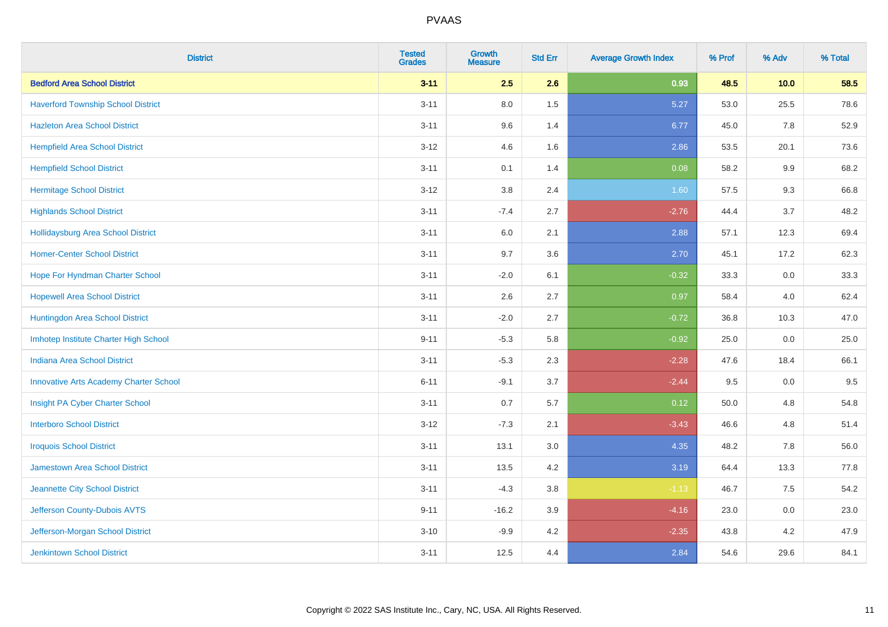| <b>District</b>                               | <b>Tested</b><br><b>Grades</b> | <b>Growth</b><br><b>Measure</b> | <b>Std Err</b> | <b>Average Growth Index</b> | % Prof | % Adv | % Total |
|-----------------------------------------------|--------------------------------|---------------------------------|----------------|-----------------------------|--------|-------|---------|
| <b>Bedford Area School District</b>           | $3 - 11$                       | 2.5                             | 2.6            | 0.93                        | 48.5   | 10.0  | 58.5    |
| <b>Haverford Township School District</b>     | $3 - 11$                       | 8.0                             | 1.5            | 5.27                        | 53.0   | 25.5  | 78.6    |
| <b>Hazleton Area School District</b>          | $3 - 11$                       | 9.6                             | 1.4            | 6.77                        | 45.0   | 7.8   | 52.9    |
| <b>Hempfield Area School District</b>         | $3 - 12$                       | 4.6                             | 1.6            | 2.86                        | 53.5   | 20.1  | 73.6    |
| <b>Hempfield School District</b>              | $3 - 11$                       | 0.1                             | 1.4            | 0.08                        | 58.2   | 9.9   | 68.2    |
| <b>Hermitage School District</b>              | $3-12$                         | 3.8                             | 2.4            | 1.60                        | 57.5   | 9.3   | 66.8    |
| <b>Highlands School District</b>              | $3 - 11$                       | $-7.4$                          | 2.7            | $-2.76$                     | 44.4   | 3.7   | 48.2    |
| <b>Hollidaysburg Area School District</b>     | $3 - 11$                       | 6.0                             | 2.1            | 2.88                        | 57.1   | 12.3  | 69.4    |
| <b>Homer-Center School District</b>           | $3 - 11$                       | 9.7                             | 3.6            | 2.70                        | 45.1   | 17.2  | 62.3    |
| Hope For Hyndman Charter School               | $3 - 11$                       | $-2.0$                          | 6.1            | $-0.32$                     | 33.3   | 0.0   | 33.3    |
| <b>Hopewell Area School District</b>          | $3 - 11$                       | 2.6                             | 2.7            | 0.97                        | 58.4   | 4.0   | 62.4    |
| Huntingdon Area School District               | $3 - 11$                       | $-2.0$                          | 2.7            | $-0.72$                     | 36.8   | 10.3  | 47.0    |
| Imhotep Institute Charter High School         | $9 - 11$                       | $-5.3$                          | 5.8            | $-0.92$                     | 25.0   | 0.0   | 25.0    |
| <b>Indiana Area School District</b>           | $3 - 11$                       | $-5.3$                          | 2.3            | $-2.28$                     | 47.6   | 18.4  | 66.1    |
| <b>Innovative Arts Academy Charter School</b> | $6 - 11$                       | $-9.1$                          | 3.7            | $-2.44$                     | 9.5    | 0.0   | 9.5     |
| Insight PA Cyber Charter School               | $3 - 11$                       | 0.7                             | 5.7            | 0.12                        | 50.0   | 4.8   | 54.8    |
| <b>Interboro School District</b>              | $3-12$                         | $-7.3$                          | 2.1            | $-3.43$                     | 46.6   | 4.8   | 51.4    |
| <b>Iroquois School District</b>               | $3 - 11$                       | 13.1                            | 3.0            | 4.35                        | 48.2   | 7.8   | 56.0    |
| <b>Jamestown Area School District</b>         | $3 - 11$                       | 13.5                            | 4.2            | 3.19                        | 64.4   | 13.3  | 77.8    |
| Jeannette City School District                | $3 - 11$                       | $-4.3$                          | 3.8            | $-1.13$                     | 46.7   | 7.5   | 54.2    |
| Jefferson County-Dubois AVTS                  | $9 - 11$                       | $-16.2$                         | 3.9            | $-4.16$                     | 23.0   | 0.0   | 23.0    |
| Jefferson-Morgan School District              | $3 - 10$                       | $-9.9$                          | 4.2            | $-2.35$                     | 43.8   | 4.2   | 47.9    |
| <b>Jenkintown School District</b>             | $3 - 11$                       | 12.5                            | 4.4            | 2.84                        | 54.6   | 29.6  | 84.1    |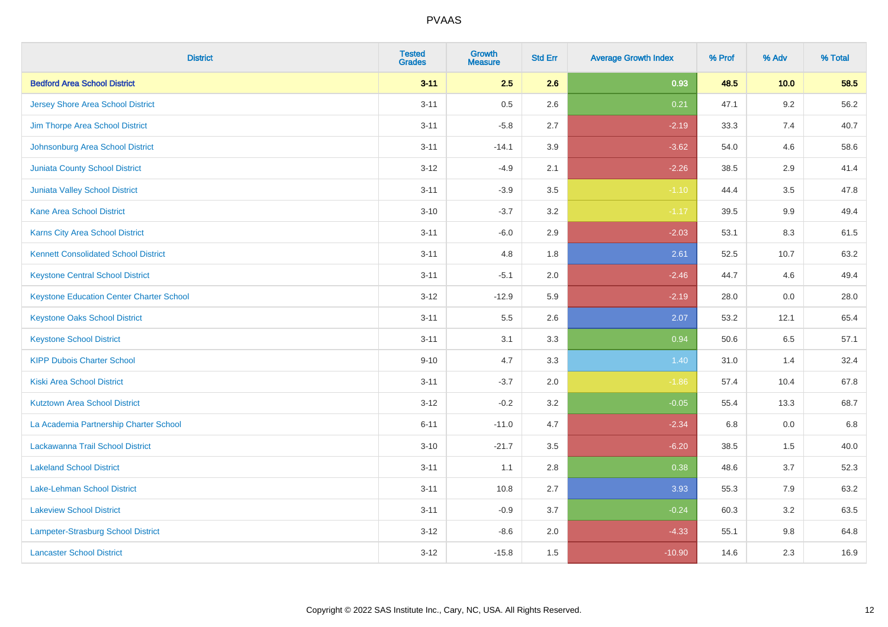| <b>District</b>                                 | <b>Tested</b><br><b>Grades</b> | <b>Growth</b><br><b>Measure</b> | <b>Std Err</b> | <b>Average Growth Index</b> | % Prof | % Adv   | % Total |
|-------------------------------------------------|--------------------------------|---------------------------------|----------------|-----------------------------|--------|---------|---------|
| <b>Bedford Area School District</b>             | $3 - 11$                       | 2.5                             | 2.6            | 0.93                        | 48.5   | 10.0    | 58.5    |
| <b>Jersey Shore Area School District</b>        | $3 - 11$                       | $0.5\,$                         | 2.6            | 0.21                        | 47.1   | $9.2\,$ | 56.2    |
| Jim Thorpe Area School District                 | $3 - 11$                       | $-5.8$                          | 2.7            | $-2.19$                     | 33.3   | 7.4     | 40.7    |
| Johnsonburg Area School District                | $3 - 11$                       | $-14.1$                         | 3.9            | $-3.62$                     | 54.0   | 4.6     | 58.6    |
| <b>Juniata County School District</b>           | $3 - 12$                       | $-4.9$                          | 2.1            | $-2.26$                     | 38.5   | 2.9     | 41.4    |
| <b>Juniata Valley School District</b>           | $3 - 11$                       | $-3.9$                          | 3.5            | $-1.10$                     | 44.4   | 3.5     | 47.8    |
| <b>Kane Area School District</b>                | $3 - 10$                       | $-3.7$                          | 3.2            | $-1.17$                     | 39.5   | 9.9     | 49.4    |
| <b>Karns City Area School District</b>          | $3 - 11$                       | $-6.0$                          | 2.9            | $-2.03$                     | 53.1   | 8.3     | 61.5    |
| <b>Kennett Consolidated School District</b>     | $3 - 11$                       | 4.8                             | 1.8            | 2.61                        | 52.5   | 10.7    | 63.2    |
| <b>Keystone Central School District</b>         | $3 - 11$                       | $-5.1$                          | 2.0            | $-2.46$                     | 44.7   | 4.6     | 49.4    |
| <b>Keystone Education Center Charter School</b> | $3 - 12$                       | $-12.9$                         | 5.9            | $-2.19$                     | 28.0   | 0.0     | 28.0    |
| <b>Keystone Oaks School District</b>            | $3 - 11$                       | $5.5\,$                         | 2.6            | 2.07                        | 53.2   | 12.1    | 65.4    |
| <b>Keystone School District</b>                 | $3 - 11$                       | 3.1                             | 3.3            | 0.94                        | 50.6   | $6.5\,$ | 57.1    |
| <b>KIPP Dubois Charter School</b>               | $9 - 10$                       | 4.7                             | 3.3            | 1.40                        | 31.0   | 1.4     | 32.4    |
| <b>Kiski Area School District</b>               | $3 - 11$                       | $-3.7$                          | 2.0            | $-1.86$                     | 57.4   | 10.4    | 67.8    |
| <b>Kutztown Area School District</b>            | $3 - 12$                       | $-0.2$                          | 3.2            | $-0.05$                     | 55.4   | 13.3    | 68.7    |
| La Academia Partnership Charter School          | $6 - 11$                       | $-11.0$                         | 4.7            | $-2.34$                     | 6.8    | 0.0     | 6.8     |
| Lackawanna Trail School District                | $3 - 10$                       | $-21.7$                         | 3.5            | $-6.20$                     | 38.5   | 1.5     | 40.0    |
| <b>Lakeland School District</b>                 | $3 - 11$                       | 1.1                             | 2.8            | 0.38                        | 48.6   | 3.7     | 52.3    |
| Lake-Lehman School District                     | $3 - 11$                       | 10.8                            | 2.7            | 3.93                        | 55.3   | 7.9     | 63.2    |
| <b>Lakeview School District</b>                 | $3 - 11$                       | $-0.9$                          | 3.7            | $-0.24$                     | 60.3   | 3.2     | 63.5    |
| <b>Lampeter-Strasburg School District</b>       | $3 - 12$                       | $-8.6$                          | 2.0            | $-4.33$                     | 55.1   | 9.8     | 64.8    |
| <b>Lancaster School District</b>                | $3 - 12$                       | $-15.8$                         | 1.5            | $-10.90$                    | 14.6   | 2.3     | 16.9    |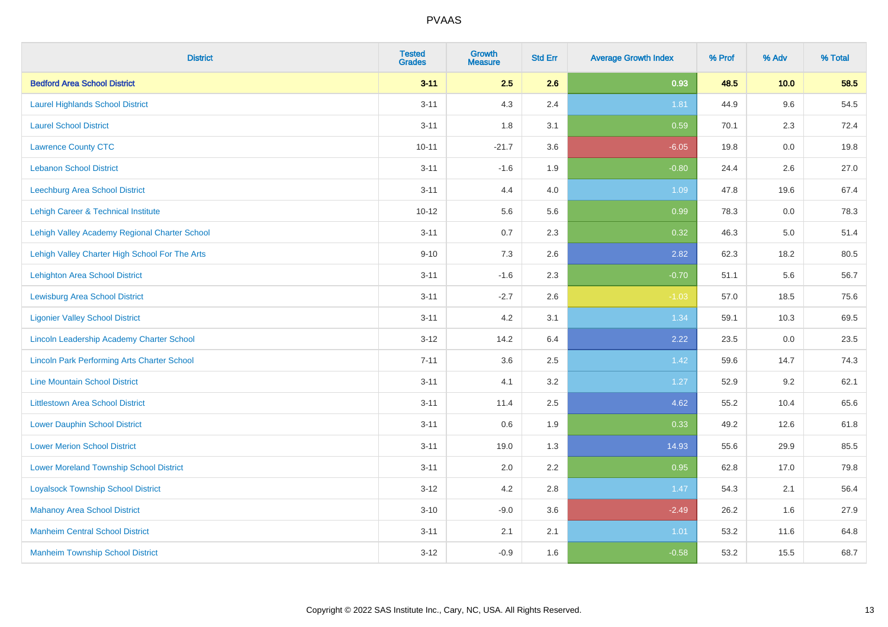| <b>District</b>                                    | <b>Tested</b><br><b>Grades</b> | <b>Growth</b><br><b>Measure</b> | <b>Std Err</b> | <b>Average Growth Index</b> | % Prof | % Adv   | % Total |
|----------------------------------------------------|--------------------------------|---------------------------------|----------------|-----------------------------|--------|---------|---------|
| <b>Bedford Area School District</b>                | $3 - 11$                       | 2.5                             | 2.6            | 0.93                        | 48.5   | 10.0    | 58.5    |
| <b>Laurel Highlands School District</b>            | $3 - 11$                       | 4.3                             | 2.4            | 1.81                        | 44.9   | 9.6     | 54.5    |
| <b>Laurel School District</b>                      | $3 - 11$                       | 1.8                             | 3.1            | 0.59                        | 70.1   | 2.3     | 72.4    |
| <b>Lawrence County CTC</b>                         | $10 - 11$                      | $-21.7$                         | 3.6            | $-6.05$                     | 19.8   | $0.0\,$ | 19.8    |
| <b>Lebanon School District</b>                     | $3 - 11$                       | $-1.6$                          | 1.9            | $-0.80$                     | 24.4   | 2.6     | 27.0    |
| Leechburg Area School District                     | $3 - 11$                       | 4.4                             | 4.0            | 1.09                        | 47.8   | 19.6    | 67.4    |
| Lehigh Career & Technical Institute                | $10 - 12$                      | 5.6                             | 5.6            | 0.99                        | 78.3   | 0.0     | 78.3    |
| Lehigh Valley Academy Regional Charter School      | $3 - 11$                       | 0.7                             | 2.3            | 0.32                        | 46.3   | 5.0     | 51.4    |
| Lehigh Valley Charter High School For The Arts     | $9 - 10$                       | 7.3                             | 2.6            | 2.82                        | 62.3   | 18.2    | 80.5    |
| Lehighton Area School District                     | $3 - 11$                       | $-1.6$                          | 2.3            | $-0.70$                     | 51.1   | 5.6     | 56.7    |
| <b>Lewisburg Area School District</b>              | $3 - 11$                       | $-2.7$                          | 2.6            | $-1.03$                     | 57.0   | 18.5    | 75.6    |
| <b>Ligonier Valley School District</b>             | $3 - 11$                       | 4.2                             | 3.1            | 1.34                        | 59.1   | 10.3    | 69.5    |
| Lincoln Leadership Academy Charter School          | $3 - 12$                       | 14.2                            | 6.4            | 2.22                        | 23.5   | $0.0\,$ | 23.5    |
| <b>Lincoln Park Performing Arts Charter School</b> | $7 - 11$                       | 3.6                             | 2.5            | 1.42                        | 59.6   | 14.7    | 74.3    |
| <b>Line Mountain School District</b>               | $3 - 11$                       | 4.1                             | 3.2            | 1.27                        | 52.9   | 9.2     | 62.1    |
| <b>Littlestown Area School District</b>            | $3 - 11$                       | 11.4                            | 2.5            | 4.62                        | 55.2   | 10.4    | 65.6    |
| <b>Lower Dauphin School District</b>               | $3 - 11$                       | 0.6                             | 1.9            | 0.33                        | 49.2   | 12.6    | 61.8    |
| <b>Lower Merion School District</b>                | $3 - 11$                       | 19.0                            | 1.3            | 14.93                       | 55.6   | 29.9    | 85.5    |
| <b>Lower Moreland Township School District</b>     | $3 - 11$                       | 2.0                             | 2.2            | 0.95                        | 62.8   | 17.0    | 79.8    |
| <b>Loyalsock Township School District</b>          | $3 - 12$                       | 4.2                             | 2.8            | 1.47                        | 54.3   | 2.1     | 56.4    |
| <b>Mahanoy Area School District</b>                | $3 - 10$                       | $-9.0$                          | 3.6            | $-2.49$                     | 26.2   | 1.6     | 27.9    |
| <b>Manheim Central School District</b>             | $3 - 11$                       | 2.1                             | 2.1            | 1.01                        | 53.2   | 11.6    | 64.8    |
| <b>Manheim Township School District</b>            | $3 - 12$                       | $-0.9$                          | 1.6            | $-0.58$                     | 53.2   | 15.5    | 68.7    |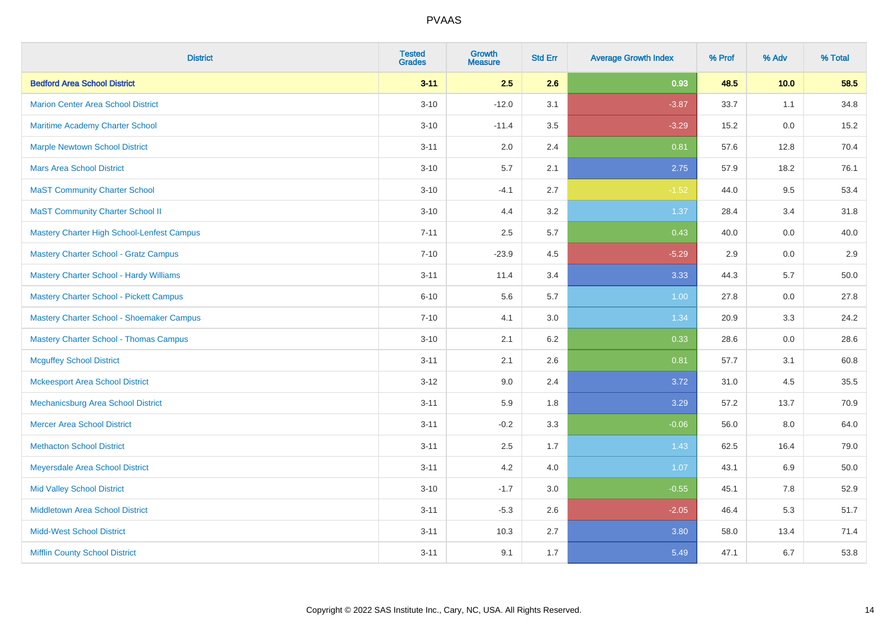| <b>District</b>                                | <b>Tested</b><br><b>Grades</b> | <b>Growth</b><br><b>Measure</b> | <b>Std Err</b> | <b>Average Growth Index</b> | % Prof | % Adv | % Total |
|------------------------------------------------|--------------------------------|---------------------------------|----------------|-----------------------------|--------|-------|---------|
| <b>Bedford Area School District</b>            | $3 - 11$                       | 2.5                             | 2.6            | 0.93                        | 48.5   | 10.0  | 58.5    |
| <b>Marion Center Area School District</b>      | $3 - 10$                       | $-12.0$                         | 3.1            | $-3.87$                     | 33.7   | 1.1   | 34.8    |
| <b>Maritime Academy Charter School</b>         | $3 - 10$                       | $-11.4$                         | 3.5            | $-3.29$                     | 15.2   | 0.0   | 15.2    |
| <b>Marple Newtown School District</b>          | $3 - 11$                       | 2.0                             | 2.4            | 0.81                        | 57.6   | 12.8  | 70.4    |
| <b>Mars Area School District</b>               | $3 - 10$                       | 5.7                             | 2.1            | 2.75                        | 57.9   | 18.2  | 76.1    |
| <b>MaST Community Charter School</b>           | $3 - 10$                       | $-4.1$                          | 2.7            | $-1.52$                     | 44.0   | 9.5   | 53.4    |
| <b>MaST Community Charter School II</b>        | $3 - 10$                       | 4.4                             | 3.2            | 1.37                        | 28.4   | 3.4   | 31.8    |
| Mastery Charter High School-Lenfest Campus     | $7 - 11$                       | 2.5                             | 5.7            | 0.43                        | 40.0   | 0.0   | 40.0    |
| <b>Mastery Charter School - Gratz Campus</b>   | $7 - 10$                       | $-23.9$                         | 4.5            | $-5.29$                     | 2.9    | 0.0   | $2.9\,$ |
| <b>Mastery Charter School - Hardy Williams</b> | $3 - 11$                       | 11.4                            | 3.4            | 3.33                        | 44.3   | 5.7   | 50.0    |
| <b>Mastery Charter School - Pickett Campus</b> | $6 - 10$                       | 5.6                             | 5.7            | 1.00                        | 27.8   | 0.0   | 27.8    |
| Mastery Charter School - Shoemaker Campus      | $7 - 10$                       | 4.1                             | 3.0            | 1.34                        | 20.9   | 3.3   | 24.2    |
| <b>Mastery Charter School - Thomas Campus</b>  | $3 - 10$                       | 2.1                             | 6.2            | 0.33                        | 28.6   | 0.0   | 28.6    |
| <b>Mcguffey School District</b>                | $3 - 11$                       | 2.1                             | 2.6            | 0.81                        | 57.7   | 3.1   | 60.8    |
| <b>Mckeesport Area School District</b>         | $3 - 12$                       | 9.0                             | 2.4            | 3.72                        | 31.0   | 4.5   | 35.5    |
| Mechanicsburg Area School District             | $3 - 11$                       | 5.9                             | 1.8            | 3.29                        | 57.2   | 13.7  | 70.9    |
| <b>Mercer Area School District</b>             | $3 - 11$                       | $-0.2$                          | 3.3            | $-0.06$                     | 56.0   | 8.0   | 64.0    |
| <b>Methacton School District</b>               | $3 - 11$                       | 2.5                             | 1.7            | 1.43                        | 62.5   | 16.4  | 79.0    |
| Meyersdale Area School District                | $3 - 11$                       | 4.2                             | 4.0            | 1.07                        | 43.1   | 6.9   | 50.0    |
| <b>Mid Valley School District</b>              | $3 - 10$                       | $-1.7$                          | 3.0            | $-0.55$                     | 45.1   | 7.8   | 52.9    |
| <b>Middletown Area School District</b>         | $3 - 11$                       | $-5.3$                          | 2.6            | $-2.05$                     | 46.4   | 5.3   | 51.7    |
| <b>Midd-West School District</b>               | $3 - 11$                       | 10.3                            | 2.7            | 3.80                        | 58.0   | 13.4  | 71.4    |
| <b>Mifflin County School District</b>          | $3 - 11$                       | 9.1                             | 1.7            | 5.49                        | 47.1   | 6.7   | 53.8    |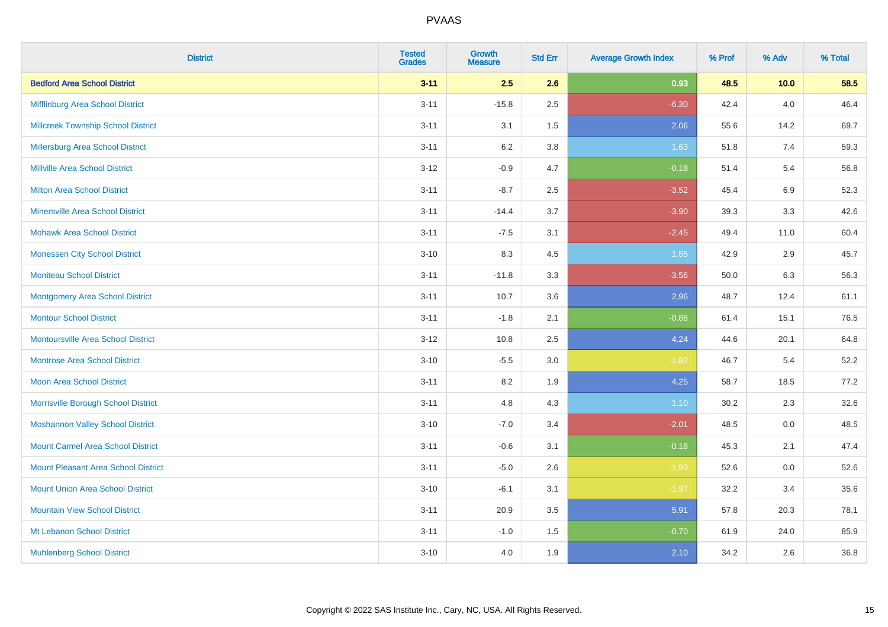| <b>District</b>                            | <b>Tested</b><br><b>Grades</b> | <b>Growth</b><br><b>Measure</b> | <b>Std Err</b> | <b>Average Growth Index</b> | % Prof | % Adv   | % Total |
|--------------------------------------------|--------------------------------|---------------------------------|----------------|-----------------------------|--------|---------|---------|
| <b>Bedford Area School District</b>        | $3 - 11$                       | 2.5                             | 2.6            | 0.93                        | 48.5   | 10.0    | 58.5    |
| Mifflinburg Area School District           | $3 - 11$                       | $-15.8$                         | 2.5            | $-6.30$                     | 42.4   | 4.0     | 46.4    |
| <b>Millcreek Township School District</b>  | $3 - 11$                       | 3.1                             | 1.5            | 2.06                        | 55.6   | 14.2    | 69.7    |
| <b>Millersburg Area School District</b>    | $3 - 11$                       | 6.2                             | 3.8            | 1.63                        | 51.8   | 7.4     | 59.3    |
| <b>Millville Area School District</b>      | $3 - 12$                       | $-0.9$                          | 4.7            | $-0.18$                     | 51.4   | 5.4     | 56.8    |
| <b>Milton Area School District</b>         | $3 - 11$                       | $-8.7$                          | 2.5            | $-3.52$                     | 45.4   | $6.9\,$ | 52.3    |
| <b>Minersville Area School District</b>    | $3 - 11$                       | $-14.4$                         | 3.7            | $-3.90$                     | 39.3   | 3.3     | 42.6    |
| <b>Mohawk Area School District</b>         | $3 - 11$                       | $-7.5$                          | 3.1            | $-2.45$                     | 49.4   | 11.0    | 60.4    |
| <b>Monessen City School District</b>       | $3 - 10$                       | 8.3                             | 4.5            | 1.85                        | 42.9   | 2.9     | 45.7    |
| <b>Moniteau School District</b>            | $3 - 11$                       | $-11.8$                         | 3.3            | $-3.56$                     | 50.0   | 6.3     | 56.3    |
| <b>Montgomery Area School District</b>     | $3 - 11$                       | 10.7                            | 3.6            | 2.96                        | 48.7   | 12.4    | 61.1    |
| <b>Montour School District</b>             | $3 - 11$                       | $-1.8$                          | 2.1            | $-0.88$                     | 61.4   | 15.1    | 76.5    |
| <b>Montoursville Area School District</b>  | $3 - 12$                       | 10.8                            | 2.5            | 4.24                        | 44.6   | 20.1    | 64.8    |
| <b>Montrose Area School District</b>       | $3 - 10$                       | $-5.5$                          | 3.0            | $-1.82$                     | 46.7   | 5.4     | 52.2    |
| Moon Area School District                  | $3 - 11$                       | 8.2                             | 1.9            | 4.25                        | 58.7   | 18.5    | 77.2    |
| Morrisville Borough School District        | $3 - 11$                       | 4.8                             | 4.3            | 1.10                        | 30.2   | 2.3     | 32.6    |
| <b>Moshannon Valley School District</b>    | $3 - 10$                       | $-7.0$                          | 3.4            | $-2.01$                     | 48.5   | 0.0     | 48.5    |
| <b>Mount Carmel Area School District</b>   | $3 - 11$                       | $-0.6$                          | 3.1            | $-0.18$                     | 45.3   | 2.1     | 47.4    |
| <b>Mount Pleasant Area School District</b> | $3 - 11$                       | $-5.0$                          | 2.6            | $-1.93$                     | 52.6   | 0.0     | 52.6    |
| <b>Mount Union Area School District</b>    | $3 - 10$                       | $-6.1$                          | 3.1            | $-1.97$                     | 32.2   | 3.4     | 35.6    |
| <b>Mountain View School District</b>       | $3 - 11$                       | 20.9                            | 3.5            | 5.91                        | 57.8   | 20.3    | 78.1    |
| Mt Lebanon School District                 | $3 - 11$                       | $-1.0$                          | 1.5            | $-0.70$                     | 61.9   | 24.0    | 85.9    |
| <b>Muhlenberg School District</b>          | $3 - 10$                       | 4.0                             | 1.9            | 2.10                        | 34.2   | 2.6     | 36.8    |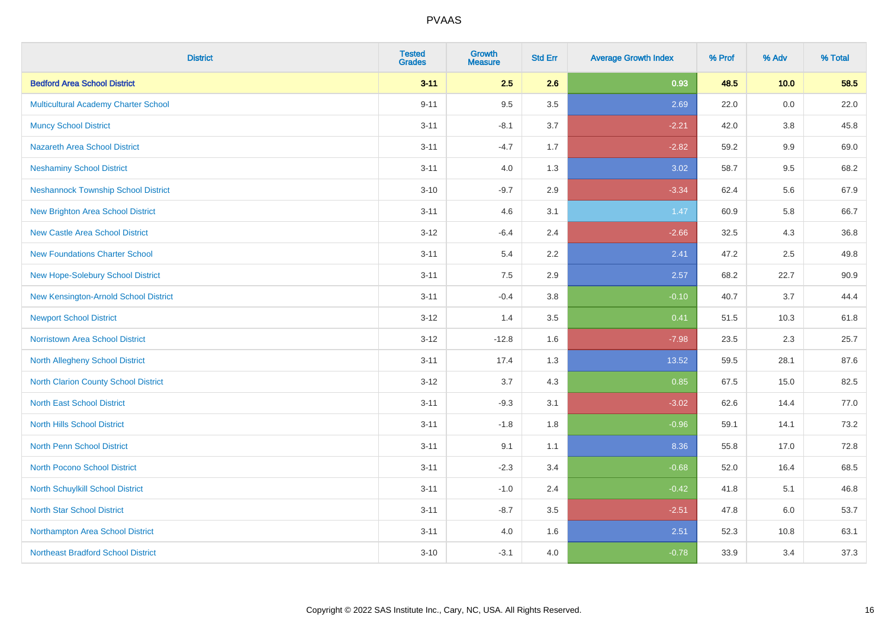| <b>District</b>                             | <b>Tested</b><br><b>Grades</b> | <b>Growth</b><br><b>Measure</b> | <b>Std Err</b> | <b>Average Growth Index</b> | % Prof | % Adv   | % Total |
|---------------------------------------------|--------------------------------|---------------------------------|----------------|-----------------------------|--------|---------|---------|
| <b>Bedford Area School District</b>         | $3 - 11$                       | 2.5                             | 2.6            | 0.93                        | 48.5   | 10.0    | 58.5    |
| <b>Multicultural Academy Charter School</b> | $9 - 11$                       | 9.5                             | 3.5            | 2.69                        | 22.0   | 0.0     | 22.0    |
| <b>Muncy School District</b>                | $3 - 11$                       | $-8.1$                          | 3.7            | $-2.21$                     | 42.0   | 3.8     | 45.8    |
| <b>Nazareth Area School District</b>        | $3 - 11$                       | $-4.7$                          | 1.7            | $-2.82$                     | 59.2   | 9.9     | 69.0    |
| <b>Neshaminy School District</b>            | $3 - 11$                       | 4.0                             | 1.3            | 3.02                        | 58.7   | 9.5     | 68.2    |
| <b>Neshannock Township School District</b>  | $3 - 10$                       | $-9.7$                          | 2.9            | $-3.34$                     | 62.4   | 5.6     | 67.9    |
| <b>New Brighton Area School District</b>    | $3 - 11$                       | 4.6                             | 3.1            | $1.47$                      | 60.9   | 5.8     | 66.7    |
| <b>New Castle Area School District</b>      | $3-12$                         | $-6.4$                          | 2.4            | $-2.66$                     | 32.5   | 4.3     | 36.8    |
| <b>New Foundations Charter School</b>       | $3 - 11$                       | 5.4                             | 2.2            | 2.41                        | 47.2   | 2.5     | 49.8    |
| New Hope-Solebury School District           | $3 - 11$                       | 7.5                             | 2.9            | 2.57                        | 68.2   | 22.7    | 90.9    |
| New Kensington-Arnold School District       | $3 - 11$                       | $-0.4$                          | 3.8            | $-0.10$                     | 40.7   | 3.7     | 44.4    |
| <b>Newport School District</b>              | $3 - 12$                       | 1.4                             | 3.5            | 0.41                        | 51.5   | 10.3    | 61.8    |
| Norristown Area School District             | $3 - 12$                       | $-12.8$                         | 1.6            | $-7.98$                     | 23.5   | $2.3\,$ | 25.7    |
| <b>North Allegheny School District</b>      | $3 - 11$                       | 17.4                            | 1.3            | 13.52                       | 59.5   | 28.1    | 87.6    |
| North Clarion County School District        | $3-12$                         | 3.7                             | 4.3            | 0.85                        | 67.5   | 15.0    | 82.5    |
| <b>North East School District</b>           | $3 - 11$                       | $-9.3$                          | 3.1            | $-3.02$                     | 62.6   | 14.4    | 77.0    |
| <b>North Hills School District</b>          | $3 - 11$                       | $-1.8$                          | 1.8            | $-0.96$                     | 59.1   | 14.1    | 73.2    |
| <b>North Penn School District</b>           | $3 - 11$                       | 9.1                             | 1.1            | 8.36                        | 55.8   | 17.0    | 72.8    |
| <b>North Pocono School District</b>         | $3 - 11$                       | $-2.3$                          | 3.4            | $-0.68$                     | 52.0   | 16.4    | 68.5    |
| North Schuylkill School District            | $3 - 11$                       | $-1.0$                          | 2.4            | $-0.42$                     | 41.8   | 5.1     | 46.8    |
| <b>North Star School District</b>           | $3 - 11$                       | $-8.7$                          | 3.5            | $-2.51$                     | 47.8   | 6.0     | 53.7    |
| Northampton Area School District            | $3 - 11$                       | 4.0                             | 1.6            | 2.51                        | 52.3   | 10.8    | 63.1    |
| <b>Northeast Bradford School District</b>   | $3 - 10$                       | $-3.1$                          | 4.0            | $-0.78$                     | 33.9   | 3.4     | 37.3    |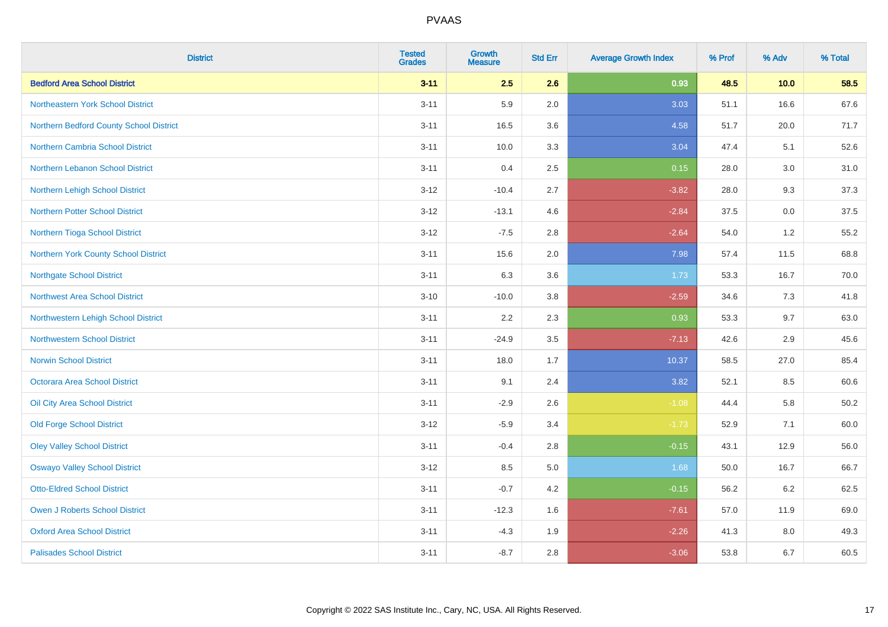| <b>District</b>                         | <b>Tested</b><br><b>Grades</b> | <b>Growth</b><br><b>Measure</b> | <b>Std Err</b> | <b>Average Growth Index</b> | % Prof | % Adv | % Total  |
|-----------------------------------------|--------------------------------|---------------------------------|----------------|-----------------------------|--------|-------|----------|
| <b>Bedford Area School District</b>     | $3 - 11$                       | 2.5                             | 2.6            | 0.93                        | 48.5   | 10.0  | 58.5     |
| Northeastern York School District       | $3 - 11$                       | 5.9                             | 2.0            | 3.03                        | 51.1   | 16.6  | 67.6     |
| Northern Bedford County School District | $3 - 11$                       | 16.5                            | 3.6            | 4.58                        | 51.7   | 20.0  | 71.7     |
| <b>Northern Cambria School District</b> | $3 - 11$                       | 10.0                            | 3.3            | 3.04                        | 47.4   | 5.1   | 52.6     |
| Northern Lebanon School District        | $3 - 11$                       | 0.4                             | 2.5            | 0.15                        | 28.0   | 3.0   | 31.0     |
| Northern Lehigh School District         | $3 - 12$                       | $-10.4$                         | 2.7            | $-3.82$                     | 28.0   | 9.3   | 37.3     |
| <b>Northern Potter School District</b>  | $3 - 12$                       | $-13.1$                         | 4.6            | $-2.84$                     | 37.5   | 0.0   | 37.5     |
| Northern Tioga School District          | $3 - 12$                       | $-7.5$                          | 2.8            | $-2.64$                     | 54.0   | 1.2   | 55.2     |
| Northern York County School District    | $3 - 11$                       | 15.6                            | 2.0            | 7.98                        | 57.4   | 11.5  | 68.8     |
| <b>Northgate School District</b>        | $3 - 11$                       | 6.3                             | 3.6            | 1.73                        | 53.3   | 16.7  | 70.0     |
| <b>Northwest Area School District</b>   | $3 - 10$                       | $-10.0$                         | 3.8            | $-2.59$                     | 34.6   | 7.3   | 41.8     |
| Northwestern Lehigh School District     | $3 - 11$                       | 2.2                             | 2.3            | 0.93                        | 53.3   | 9.7   | 63.0     |
| <b>Northwestern School District</b>     | $3 - 11$                       | $-24.9$                         | 3.5            | $-7.13$                     | 42.6   | 2.9   | 45.6     |
| <b>Norwin School District</b>           | $3 - 11$                       | 18.0                            | 1.7            | 10.37                       | 58.5   | 27.0  | 85.4     |
| Octorara Area School District           | $3 - 11$                       | 9.1                             | 2.4            | 3.82                        | 52.1   | 8.5   | 60.6     |
| Oil City Area School District           | $3 - 11$                       | $-2.9$                          | 2.6            | $-1.08$                     | 44.4   | 5.8   | $50.2\,$ |
| <b>Old Forge School District</b>        | $3 - 12$                       | $-5.9$                          | 3.4            | $-1.73$                     | 52.9   | 7.1   | 60.0     |
| <b>Oley Valley School District</b>      | $3 - 11$                       | $-0.4$                          | 2.8            | $-0.15$                     | 43.1   | 12.9  | 56.0     |
| <b>Oswayo Valley School District</b>    | $3 - 12$                       | 8.5                             | 5.0            | 1.68                        | 50.0   | 16.7  | 66.7     |
| <b>Otto-Eldred School District</b>      | $3 - 11$                       | $-0.7$                          | 4.2            | $-0.15$                     | 56.2   | 6.2   | 62.5     |
| <b>Owen J Roberts School District</b>   | $3 - 11$                       | $-12.3$                         | 1.6            | $-7.61$                     | 57.0   | 11.9  | 69.0     |
| <b>Oxford Area School District</b>      | $3 - 11$                       | $-4.3$                          | 1.9            | $-2.26$                     | 41.3   | 8.0   | 49.3     |
| <b>Palisades School District</b>        | $3 - 11$                       | $-8.7$                          | 2.8            | $-3.06$                     | 53.8   | 6.7   | 60.5     |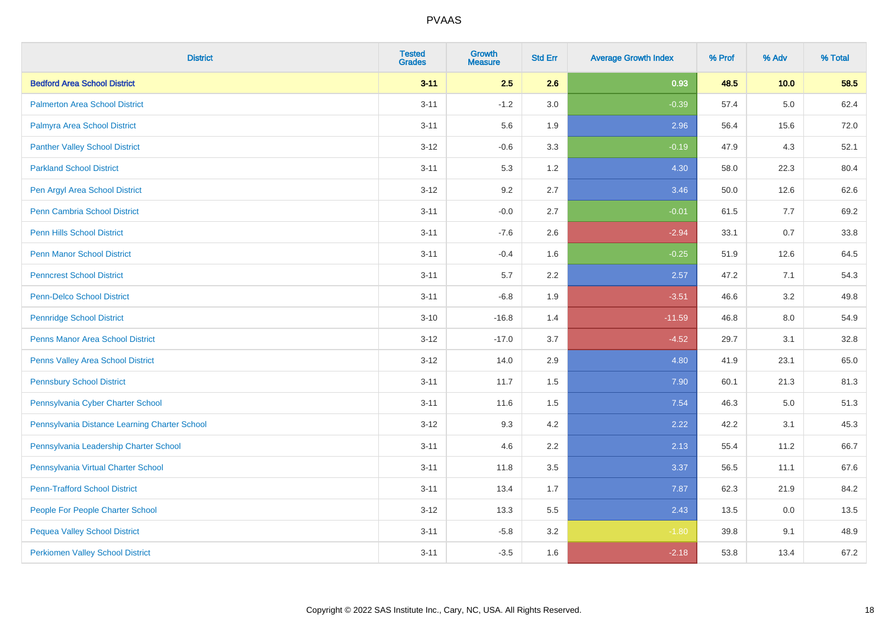| <b>District</b>                               | <b>Tested</b><br><b>Grades</b> | <b>Growth</b><br><b>Measure</b> | <b>Std Err</b> | <b>Average Growth Index</b> | % Prof | % Adv | % Total |
|-----------------------------------------------|--------------------------------|---------------------------------|----------------|-----------------------------|--------|-------|---------|
| <b>Bedford Area School District</b>           | $3 - 11$                       | 2.5                             | 2.6            | 0.93                        | 48.5   | 10.0  | 58.5    |
| <b>Palmerton Area School District</b>         | $3 - 11$                       | $-1.2$                          | 3.0            | $-0.39$                     | 57.4   | 5.0   | 62.4    |
| Palmyra Area School District                  | $3 - 11$                       | 5.6                             | 1.9            | 2.96                        | 56.4   | 15.6  | 72.0    |
| <b>Panther Valley School District</b>         | $3 - 12$                       | $-0.6$                          | 3.3            | $-0.19$                     | 47.9   | 4.3   | 52.1    |
| <b>Parkland School District</b>               | $3 - 11$                       | 5.3                             | 1.2            | 4.30                        | 58.0   | 22.3  | 80.4    |
| Pen Argyl Area School District                | $3-12$                         | 9.2                             | 2.7            | 3.46                        | 50.0   | 12.6  | 62.6    |
| Penn Cambria School District                  | $3 - 11$                       | $-0.0$                          | 2.7            | $-0.01$                     | 61.5   | $7.7$ | 69.2    |
| <b>Penn Hills School District</b>             | $3 - 11$                       | $-7.6$                          | 2.6            | $-2.94$                     | 33.1   | 0.7   | 33.8    |
| <b>Penn Manor School District</b>             | $3 - 11$                       | $-0.4$                          | 1.6            | $-0.25$                     | 51.9   | 12.6  | 64.5    |
| <b>Penncrest School District</b>              | $3 - 11$                       | 5.7                             | 2.2            | 2.57                        | 47.2   | 7.1   | 54.3    |
| <b>Penn-Delco School District</b>             | $3 - 11$                       | $-6.8$                          | 1.9            | $-3.51$                     | 46.6   | 3.2   | 49.8    |
| <b>Pennridge School District</b>              | $3 - 10$                       | $-16.8$                         | 1.4            | $-11.59$                    | 46.8   | 8.0   | 54.9    |
| <b>Penns Manor Area School District</b>       | $3 - 12$                       | $-17.0$                         | 3.7            | $-4.52$                     | 29.7   | 3.1   | 32.8    |
| <b>Penns Valley Area School District</b>      | $3-12$                         | 14.0                            | 2.9            | 4.80                        | 41.9   | 23.1  | 65.0    |
| <b>Pennsbury School District</b>              | $3 - 11$                       | 11.7                            | 1.5            | 7.90                        | 60.1   | 21.3  | 81.3    |
| Pennsylvania Cyber Charter School             | $3 - 11$                       | 11.6                            | 1.5            | 7.54                        | 46.3   | 5.0   | 51.3    |
| Pennsylvania Distance Learning Charter School | $3-12$                         | 9.3                             | 4.2            | 2.22                        | 42.2   | 3.1   | 45.3    |
| Pennsylvania Leadership Charter School        | $3 - 11$                       | 4.6                             | 2.2            | 2.13                        | 55.4   | 11.2  | 66.7    |
| Pennsylvania Virtual Charter School           | $3 - 11$                       | 11.8                            | 3.5            | 3.37                        | 56.5   | 11.1  | 67.6    |
| <b>Penn-Trafford School District</b>          | $3 - 11$                       | 13.4                            | 1.7            | 7.87                        | 62.3   | 21.9  | 84.2    |
| People For People Charter School              | $3-12$                         | 13.3                            | 5.5            | 2.43                        | 13.5   | 0.0   | 13.5    |
| <b>Pequea Valley School District</b>          | $3 - 11$                       | $-5.8$                          | 3.2            | $-1.80$                     | 39.8   | 9.1   | 48.9    |
| <b>Perkiomen Valley School District</b>       | $3 - 11$                       | $-3.5$                          | 1.6            | $-2.18$                     | 53.8   | 13.4  | 67.2    |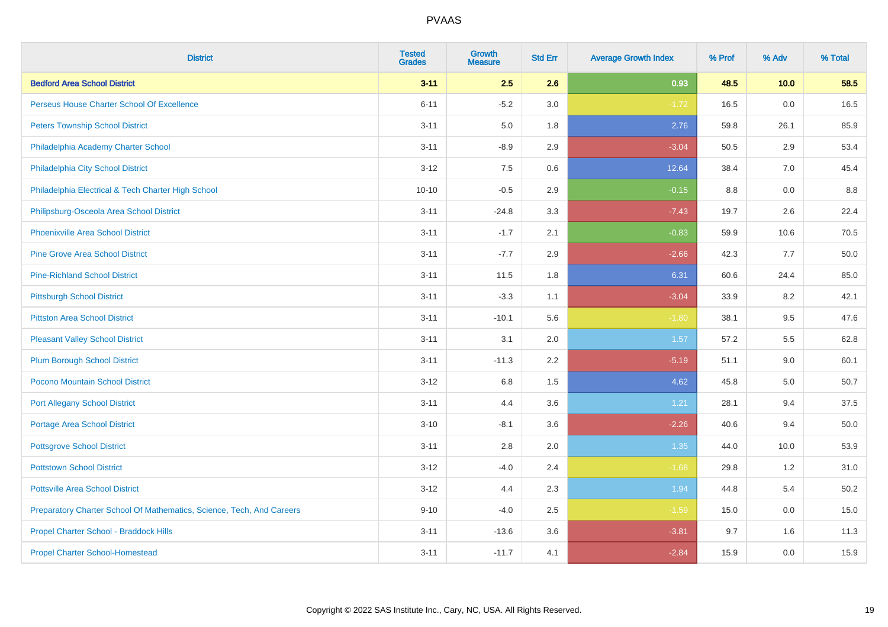| <b>District</b>                                                       | <b>Tested</b><br><b>Grades</b> | <b>Growth</b><br><b>Measure</b> | <b>Std Err</b> | <b>Average Growth Index</b> | % Prof | % Adv | % Total |
|-----------------------------------------------------------------------|--------------------------------|---------------------------------|----------------|-----------------------------|--------|-------|---------|
| <b>Bedford Area School District</b>                                   | $3 - 11$                       | 2.5                             | 2.6            | 0.93                        | 48.5   | 10.0  | 58.5    |
| Perseus House Charter School Of Excellence                            | $6 - 11$                       | $-5.2$                          | 3.0            | $-1.72$                     | 16.5   | 0.0   | 16.5    |
| <b>Peters Township School District</b>                                | $3 - 11$                       | 5.0                             | 1.8            | 2.76                        | 59.8   | 26.1  | 85.9    |
| Philadelphia Academy Charter School                                   | $3 - 11$                       | $-8.9$                          | 2.9            | $-3.04$                     | 50.5   | 2.9   | 53.4    |
| Philadelphia City School District                                     | $3 - 12$                       | 7.5                             | 0.6            | 12.64                       | 38.4   | 7.0   | 45.4    |
| Philadelphia Electrical & Tech Charter High School                    | $10 - 10$                      | $-0.5$                          | 2.9            | $-0.15$                     | 8.8    | 0.0   | 8.8     |
| Philipsburg-Osceola Area School District                              | $3 - 11$                       | $-24.8$                         | 3.3            | $-7.43$                     | 19.7   | 2.6   | 22.4    |
| <b>Phoenixville Area School District</b>                              | $3 - 11$                       | $-1.7$                          | 2.1            | $-0.83$                     | 59.9   | 10.6  | 70.5    |
| <b>Pine Grove Area School District</b>                                | $3 - 11$                       | $-7.7$                          | 2.9            | $-2.66$                     | 42.3   | 7.7   | 50.0    |
| <b>Pine-Richland School District</b>                                  | $3 - 11$                       | 11.5                            | 1.8            | 6.31                        | 60.6   | 24.4  | 85.0    |
| <b>Pittsburgh School District</b>                                     | $3 - 11$                       | $-3.3$                          | 1.1            | $-3.04$                     | 33.9   | 8.2   | 42.1    |
| <b>Pittston Area School District</b>                                  | $3 - 11$                       | $-10.1$                         | 5.6            | $-1.80$                     | 38.1   | 9.5   | 47.6    |
| <b>Pleasant Valley School District</b>                                | $3 - 11$                       | 3.1                             | 2.0            | 1.57                        | 57.2   | 5.5   | 62.8    |
| <b>Plum Borough School District</b>                                   | $3 - 11$                       | $-11.3$                         | 2.2            | $-5.19$                     | 51.1   | 9.0   | 60.1    |
| Pocono Mountain School District                                       | $3 - 12$                       | 6.8                             | 1.5            | 4.62                        | 45.8   | 5.0   | 50.7    |
| <b>Port Allegany School District</b>                                  | $3 - 11$                       | 4.4                             | 3.6            | 1.21                        | 28.1   | 9.4   | 37.5    |
| <b>Portage Area School District</b>                                   | $3 - 10$                       | $-8.1$                          | 3.6            | $-2.26$                     | 40.6   | 9.4   | 50.0    |
| <b>Pottsgrove School District</b>                                     | $3 - 11$                       | 2.8                             | 2.0            | 1.35                        | 44.0   | 10.0  | 53.9    |
| <b>Pottstown School District</b>                                      | $3 - 12$                       | $-4.0$                          | 2.4            | $-1.68$                     | 29.8   | 1.2   | 31.0    |
| <b>Pottsville Area School District</b>                                | $3 - 12$                       | 4.4                             | 2.3            | 1.94                        | 44.8   | 5.4   | 50.2    |
| Preparatory Charter School Of Mathematics, Science, Tech, And Careers | $9 - 10$                       | $-4.0$                          | 2.5            | $-1.59$                     | 15.0   | 0.0   | 15.0    |
| Propel Charter School - Braddock Hills                                | $3 - 11$                       | $-13.6$                         | 3.6            | $-3.81$                     | 9.7    | 1.6   | 11.3    |
| <b>Propel Charter School-Homestead</b>                                | $3 - 11$                       | $-11.7$                         | 4.1            | $-2.84$                     | 15.9   | 0.0   | 15.9    |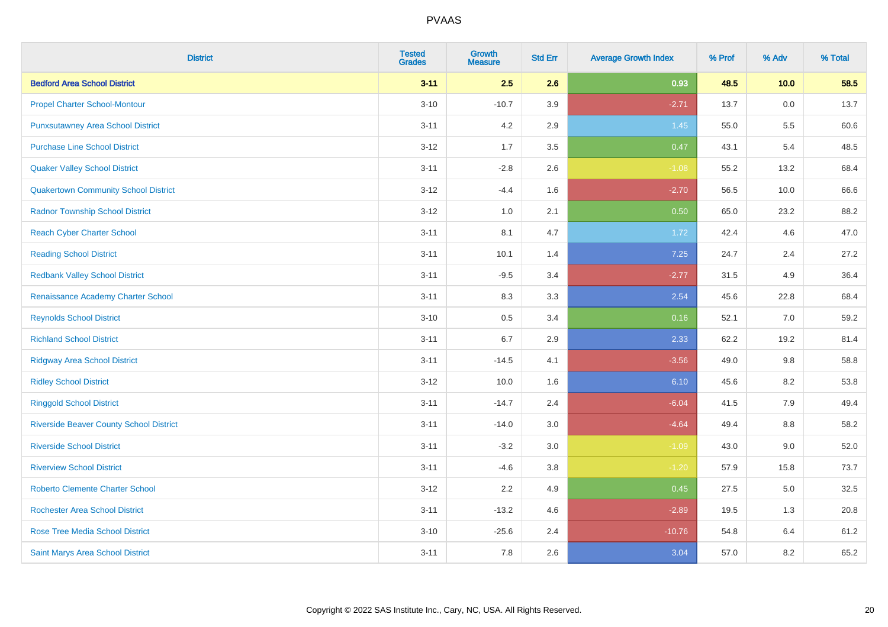| <b>District</b>                                | <b>Tested</b><br><b>Grades</b> | <b>Growth</b><br><b>Measure</b> | <b>Std Err</b> | <b>Average Growth Index</b> | % Prof | % Adv   | % Total |
|------------------------------------------------|--------------------------------|---------------------------------|----------------|-----------------------------|--------|---------|---------|
| <b>Bedford Area School District</b>            | $3 - 11$                       | 2.5                             | 2.6            | 0.93                        | 48.5   | 10.0    | 58.5    |
| <b>Propel Charter School-Montour</b>           | $3 - 10$                       | $-10.7$                         | 3.9            | $-2.71$                     | 13.7   | 0.0     | 13.7    |
| <b>Punxsutawney Area School District</b>       | $3 - 11$                       | 4.2                             | 2.9            | 1.45                        | 55.0   | 5.5     | 60.6    |
| <b>Purchase Line School District</b>           | $3 - 12$                       | 1.7                             | 3.5            | 0.47                        | 43.1   | 5.4     | 48.5    |
| <b>Quaker Valley School District</b>           | $3 - 11$                       | $-2.8$                          | 2.6            | $-1.08$                     | 55.2   | 13.2    | 68.4    |
| <b>Quakertown Community School District</b>    | $3 - 12$                       | $-4.4$                          | 1.6            | $-2.70$                     | 56.5   | 10.0    | 66.6    |
| <b>Radnor Township School District</b>         | $3-12$                         | 1.0                             | 2.1            | 0.50                        | 65.0   | 23.2    | 88.2    |
| <b>Reach Cyber Charter School</b>              | $3 - 11$                       | 8.1                             | 4.7            | 1.72                        | 42.4   | 4.6     | 47.0    |
| <b>Reading School District</b>                 | $3 - 11$                       | 10.1                            | 1.4            | 7.25                        | 24.7   | 2.4     | 27.2    |
| <b>Redbank Valley School District</b>          | $3 - 11$                       | $-9.5$                          | 3.4            | $-2.77$                     | 31.5   | 4.9     | 36.4    |
| Renaissance Academy Charter School             | $3 - 11$                       | 8.3                             | 3.3            | 2.54                        | 45.6   | 22.8    | 68.4    |
| <b>Reynolds School District</b>                | $3 - 10$                       | 0.5                             | 3.4            | 0.16                        | 52.1   | 7.0     | 59.2    |
| <b>Richland School District</b>                | $3 - 11$                       | 6.7                             | 2.9            | 2.33                        | 62.2   | 19.2    | 81.4    |
| <b>Ridgway Area School District</b>            | $3 - 11$                       | $-14.5$                         | 4.1            | $-3.56$                     | 49.0   | 9.8     | 58.8    |
| <b>Ridley School District</b>                  | $3 - 12$                       | 10.0                            | 1.6            | 6.10                        | 45.6   | 8.2     | 53.8    |
| <b>Ringgold School District</b>                | $3 - 11$                       | $-14.7$                         | 2.4            | $-6.04$                     | 41.5   | 7.9     | 49.4    |
| <b>Riverside Beaver County School District</b> | $3 - 11$                       | $-14.0$                         | 3.0            | $-4.64$                     | 49.4   | 8.8     | 58.2    |
| <b>Riverside School District</b>               | $3 - 11$                       | $-3.2$                          | 3.0            | $-1.09$                     | 43.0   | 9.0     | 52.0    |
| <b>Riverview School District</b>               | $3 - 11$                       | $-4.6$                          | 3.8            | $-1.20$                     | 57.9   | 15.8    | 73.7    |
| <b>Roberto Clemente Charter School</b>         | $3-12$                         | 2.2                             | 4.9            | 0.45                        | 27.5   | $5.0\,$ | 32.5    |
| Rochester Area School District                 | $3 - 11$                       | $-13.2$                         | 4.6            | $-2.89$                     | 19.5   | 1.3     | 20.8    |
| <b>Rose Tree Media School District</b>         | $3 - 10$                       | $-25.6$                         | 2.4            | $-10.76$                    | 54.8   | 6.4     | 61.2    |
| Saint Marys Area School District               | $3 - 11$                       | 7.8                             | 2.6            | 3.04                        | 57.0   | 8.2     | 65.2    |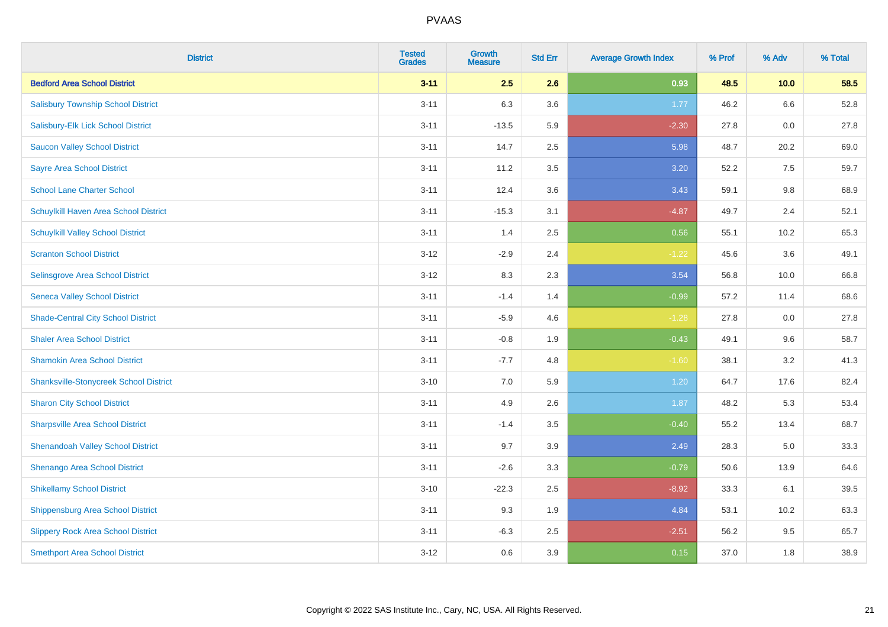| <b>District</b>                               | <b>Tested</b><br><b>Grades</b> | <b>Growth</b><br><b>Measure</b> | <b>Std Err</b> | <b>Average Growth Index</b> | % Prof | % Adv | % Total |
|-----------------------------------------------|--------------------------------|---------------------------------|----------------|-----------------------------|--------|-------|---------|
| <b>Bedford Area School District</b>           | $3 - 11$                       | 2.5                             | 2.6            | 0.93                        | 48.5   | 10.0  | 58.5    |
| <b>Salisbury Township School District</b>     | $3 - 11$                       | 6.3                             | 3.6            | 1.77                        | 46.2   | 6.6   | 52.8    |
| Salisbury-Elk Lick School District            | $3 - 11$                       | $-13.5$                         | 5.9            | $-2.30$                     | 27.8   | 0.0   | 27.8    |
| <b>Saucon Valley School District</b>          | $3 - 11$                       | 14.7                            | 2.5            | 5.98                        | 48.7   | 20.2  | 69.0    |
| <b>Sayre Area School District</b>             | $3 - 11$                       | 11.2                            | 3.5            | 3.20                        | 52.2   | 7.5   | 59.7    |
| <b>School Lane Charter School</b>             | $3 - 11$                       | 12.4                            | 3.6            | 3.43                        | 59.1   | 9.8   | 68.9    |
| Schuylkill Haven Area School District         | $3 - 11$                       | $-15.3$                         | 3.1            | $-4.87$                     | 49.7   | 2.4   | 52.1    |
| <b>Schuylkill Valley School District</b>      | $3 - 11$                       | 1.4                             | 2.5            | 0.56                        | 55.1   | 10.2  | 65.3    |
| <b>Scranton School District</b>               | $3-12$                         | $-2.9$                          | 2.4            | $-1.22$                     | 45.6   | 3.6   | 49.1    |
| Selinsgrove Area School District              | $3 - 12$                       | 8.3                             | 2.3            | 3.54                        | 56.8   | 10.0  | 66.8    |
| <b>Seneca Valley School District</b>          | $3 - 11$                       | $-1.4$                          | 1.4            | $-0.99$                     | 57.2   | 11.4  | 68.6    |
| <b>Shade-Central City School District</b>     | $3 - 11$                       | $-5.9$                          | 4.6            | $-1.28$                     | 27.8   | 0.0   | 27.8    |
| <b>Shaler Area School District</b>            | $3 - 11$                       | $-0.8$                          | 1.9            | $-0.43$                     | 49.1   | 9.6   | 58.7    |
| <b>Shamokin Area School District</b>          | $3 - 11$                       | $-7.7$                          | 4.8            | $-1.60$                     | 38.1   | 3.2   | 41.3    |
| <b>Shanksville-Stonycreek School District</b> | $3 - 10$                       | 7.0                             | 5.9            | 1.20                        | 64.7   | 17.6  | 82.4    |
| <b>Sharon City School District</b>            | $3 - 11$                       | 4.9                             | 2.6            | 1.87                        | 48.2   | 5.3   | 53.4    |
| <b>Sharpsville Area School District</b>       | $3 - 11$                       | $-1.4$                          | 3.5            | $-0.40$                     | 55.2   | 13.4  | 68.7    |
| <b>Shenandoah Valley School District</b>      | $3 - 11$                       | 9.7                             | 3.9            | 2.49                        | 28.3   | 5.0   | 33.3    |
| Shenango Area School District                 | $3 - 11$                       | $-2.6$                          | 3.3            | $-0.79$                     | 50.6   | 13.9  | 64.6    |
| <b>Shikellamy School District</b>             | $3 - 10$                       | $-22.3$                         | 2.5            | $-8.92$                     | 33.3   | 6.1   | 39.5    |
| <b>Shippensburg Area School District</b>      | $3 - 11$                       | 9.3                             | 1.9            | 4.84                        | 53.1   | 10.2  | 63.3    |
| <b>Slippery Rock Area School District</b>     | $3 - 11$                       | $-6.3$                          | 2.5            | $-2.51$                     | 56.2   | 9.5   | 65.7    |
| <b>Smethport Area School District</b>         | $3-12$                         | 0.6                             | 3.9            | 0.15                        | 37.0   | 1.8   | 38.9    |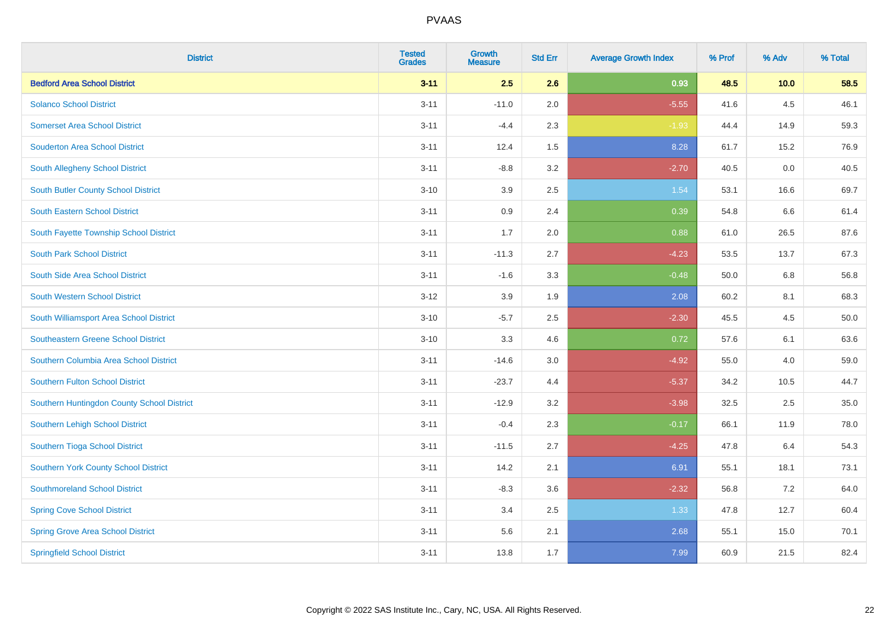| <b>District</b>                             | <b>Tested</b><br><b>Grades</b> | <b>Growth</b><br><b>Measure</b> | <b>Std Err</b> | <b>Average Growth Index</b> | % Prof | % Adv   | % Total |
|---------------------------------------------|--------------------------------|---------------------------------|----------------|-----------------------------|--------|---------|---------|
| <b>Bedford Area School District</b>         | $3 - 11$                       | 2.5                             | 2.6            | 0.93                        | 48.5   | 10.0    | 58.5    |
| <b>Solanco School District</b>              | $3 - 11$                       | $-11.0$                         | 2.0            | $-5.55$                     | 41.6   | $4.5\,$ | 46.1    |
| <b>Somerset Area School District</b>        | $3 - 11$                       | $-4.4$                          | 2.3            | $-1.93$                     | 44.4   | 14.9    | 59.3    |
| <b>Souderton Area School District</b>       | $3 - 11$                       | 12.4                            | 1.5            | 8.28                        | 61.7   | 15.2    | 76.9    |
| South Allegheny School District             | $3 - 11$                       | $-8.8$                          | 3.2            | $-2.70$                     | 40.5   | 0.0     | 40.5    |
| <b>South Butler County School District</b>  | $3 - 10$                       | 3.9                             | 2.5            | 1.54                        | 53.1   | 16.6    | 69.7    |
| <b>South Eastern School District</b>        | $3 - 11$                       | 0.9                             | 2.4            | 0.39                        | 54.8   | 6.6     | 61.4    |
| South Fayette Township School District      | $3 - 11$                       | 1.7                             | 2.0            | 0.88                        | 61.0   | 26.5    | 87.6    |
| <b>South Park School District</b>           | $3 - 11$                       | $-11.3$                         | 2.7            | $-4.23$                     | 53.5   | 13.7    | 67.3    |
| South Side Area School District             | $3 - 11$                       | $-1.6$                          | 3.3            | $-0.48$                     | 50.0   | 6.8     | 56.8    |
| <b>South Western School District</b>        | $3 - 12$                       | 3.9                             | 1.9            | 2.08                        | 60.2   | 8.1     | 68.3    |
| South Williamsport Area School District     | $3 - 10$                       | $-5.7$                          | 2.5            | $-2.30$                     | 45.5   | 4.5     | 50.0    |
| <b>Southeastern Greene School District</b>  | $3 - 10$                       | 3.3                             | 4.6            | 0.72                        | 57.6   | 6.1     | 63.6    |
| Southern Columbia Area School District      | $3 - 11$                       | $-14.6$                         | 3.0            | $-4.92$                     | 55.0   | 4.0     | 59.0    |
| <b>Southern Fulton School District</b>      | $3 - 11$                       | $-23.7$                         | 4.4            | $-5.37$                     | 34.2   | 10.5    | 44.7    |
| Southern Huntingdon County School District  | $3 - 11$                       | $-12.9$                         | 3.2            | $-3.98$                     | 32.5   | 2.5     | 35.0    |
| <b>Southern Lehigh School District</b>      | $3 - 11$                       | $-0.4$                          | 2.3            | $-0.17$                     | 66.1   | 11.9    | 78.0    |
| Southern Tioga School District              | $3 - 11$                       | $-11.5$                         | 2.7            | $-4.25$                     | 47.8   | 6.4     | 54.3    |
| <b>Southern York County School District</b> | $3 - 11$                       | 14.2                            | 2.1            | 6.91                        | 55.1   | 18.1    | 73.1    |
| <b>Southmoreland School District</b>        | $3 - 11$                       | $-8.3$                          | 3.6            | $-2.32$                     | 56.8   | 7.2     | 64.0    |
| <b>Spring Cove School District</b>          | $3 - 11$                       | 3.4                             | 2.5            | 1.33                        | 47.8   | 12.7    | 60.4    |
| <b>Spring Grove Area School District</b>    | $3 - 11$                       | 5.6                             | 2.1            | 2.68                        | 55.1   | 15.0    | 70.1    |
| <b>Springfield School District</b>          | $3 - 11$                       | 13.8                            | 1.7            | 7.99                        | 60.9   | 21.5    | 82.4    |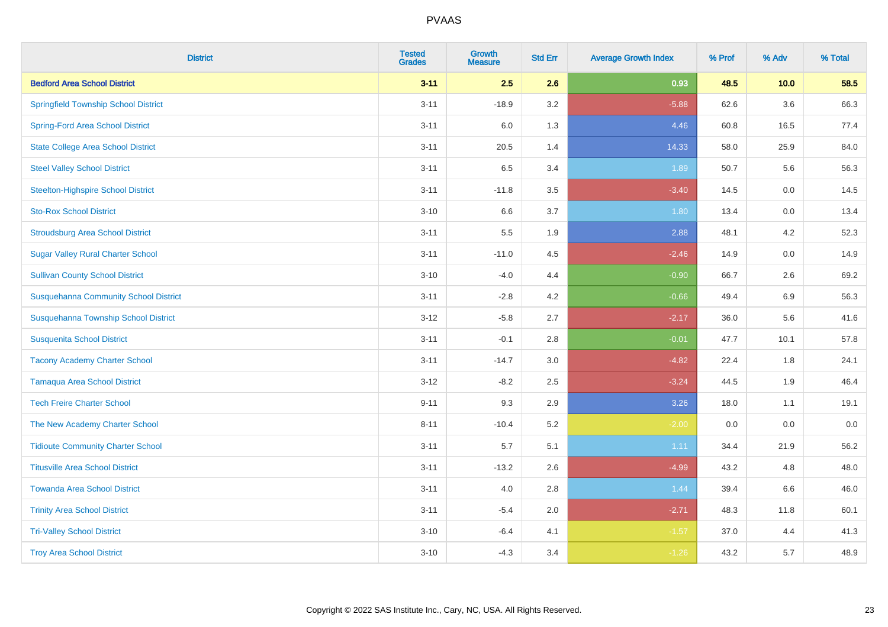| <b>District</b>                              | <b>Tested</b><br><b>Grades</b> | <b>Growth</b><br><b>Measure</b> | <b>Std Err</b> | <b>Average Growth Index</b> | % Prof | % Adv | % Total |
|----------------------------------------------|--------------------------------|---------------------------------|----------------|-----------------------------|--------|-------|---------|
| <b>Bedford Area School District</b>          | $3 - 11$                       | 2.5                             | 2.6            | 0.93                        | 48.5   | 10.0  | 58.5    |
| <b>Springfield Township School District</b>  | $3 - 11$                       | $-18.9$                         | 3.2            | $-5.88$                     | 62.6   | 3.6   | 66.3    |
| <b>Spring-Ford Area School District</b>      | $3 - 11$                       | 6.0                             | 1.3            | 4.46                        | 60.8   | 16.5  | 77.4    |
| <b>State College Area School District</b>    | $3 - 11$                       | 20.5                            | 1.4            | 14.33                       | 58.0   | 25.9  | 84.0    |
| <b>Steel Valley School District</b>          | $3 - 11$                       | 6.5                             | 3.4            | 1.89                        | 50.7   | 5.6   | 56.3    |
| <b>Steelton-Highspire School District</b>    | $3 - 11$                       | $-11.8$                         | 3.5            | $-3.40$                     | 14.5   | 0.0   | 14.5    |
| <b>Sto-Rox School District</b>               | $3 - 10$                       | 6.6                             | 3.7            | 1.80                        | 13.4   | 0.0   | 13.4    |
| <b>Stroudsburg Area School District</b>      | $3 - 11$                       | 5.5                             | 1.9            | 2.88                        | 48.1   | 4.2   | 52.3    |
| <b>Sugar Valley Rural Charter School</b>     | $3 - 11$                       | $-11.0$                         | 4.5            | $-2.46$                     | 14.9   | 0.0   | 14.9    |
| <b>Sullivan County School District</b>       | $3 - 10$                       | $-4.0$                          | 4.4            | $-0.90$                     | 66.7   | 2.6   | 69.2    |
| <b>Susquehanna Community School District</b> | $3 - 11$                       | $-2.8$                          | 4.2            | $-0.66$                     | 49.4   | 6.9   | 56.3    |
| Susquehanna Township School District         | $3 - 12$                       | $-5.8$                          | 2.7            | $-2.17$                     | 36.0   | 5.6   | 41.6    |
| <b>Susquenita School District</b>            | $3 - 11$                       | $-0.1$                          | 2.8            | $-0.01$                     | 47.7   | 10.1  | 57.8    |
| <b>Tacony Academy Charter School</b>         | $3 - 11$                       | $-14.7$                         | 3.0            | $-4.82$                     | 22.4   | 1.8   | 24.1    |
| <b>Tamaqua Area School District</b>          | $3 - 12$                       | $-8.2$                          | 2.5            | $-3.24$                     | 44.5   | 1.9   | 46.4    |
| <b>Tech Freire Charter School</b>            | $9 - 11$                       | 9.3                             | 2.9            | 3.26                        | 18.0   | 1.1   | 19.1    |
| The New Academy Charter School               | $8 - 11$                       | $-10.4$                         | 5.2            | $-2.00$                     | 0.0    | 0.0   | 0.0     |
| <b>Tidioute Community Charter School</b>     | $3 - 11$                       | 5.7                             | 5.1            | 1.11                        | 34.4   | 21.9  | 56.2    |
| <b>Titusville Area School District</b>       | $3 - 11$                       | $-13.2$                         | 2.6            | $-4.99$                     | 43.2   | 4.8   | 48.0    |
| <b>Towanda Area School District</b>          | $3 - 11$                       | 4.0                             | 2.8            | 1.44                        | 39.4   | 6.6   | 46.0    |
| <b>Trinity Area School District</b>          | $3 - 11$                       | $-5.4$                          | 2.0            | $-2.71$                     | 48.3   | 11.8  | 60.1    |
| <b>Tri-Valley School District</b>            | $3 - 10$                       | $-6.4$                          | 4.1            | $-1.57$                     | 37.0   | 4.4   | 41.3    |
| <b>Troy Area School District</b>             | $3 - 10$                       | $-4.3$                          | 3.4            | $-1.26$                     | 43.2   | 5.7   | 48.9    |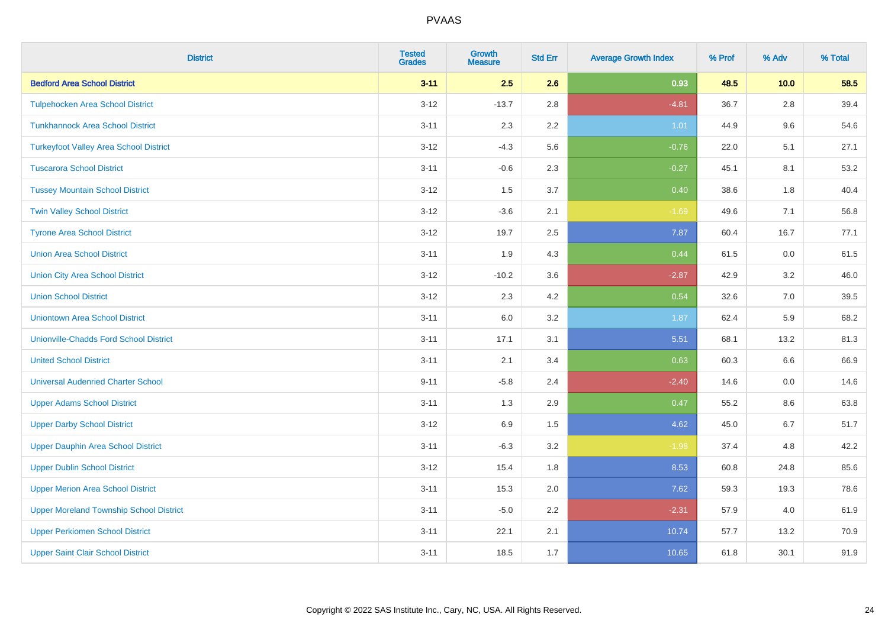| <b>District</b>                                | <b>Tested</b><br><b>Grades</b> | <b>Growth</b><br><b>Measure</b> | <b>Std Err</b> | <b>Average Growth Index</b> | % Prof | % Adv | % Total |
|------------------------------------------------|--------------------------------|---------------------------------|----------------|-----------------------------|--------|-------|---------|
| <b>Bedford Area School District</b>            | $3 - 11$                       | 2.5                             | 2.6            | 0.93                        | 48.5   | 10.0  | 58.5    |
| <b>Tulpehocken Area School District</b>        | $3-12$                         | $-13.7$                         | 2.8            | $-4.81$                     | 36.7   | 2.8   | 39.4    |
| <b>Tunkhannock Area School District</b>        | $3 - 11$                       | 2.3                             | 2.2            | 1.01                        | 44.9   | 9.6   | 54.6    |
| <b>Turkeyfoot Valley Area School District</b>  | $3 - 12$                       | $-4.3$                          | 5.6            | $-0.76$                     | 22.0   | 5.1   | 27.1    |
| <b>Tuscarora School District</b>               | $3 - 11$                       | $-0.6$                          | 2.3            | $-0.27$                     | 45.1   | 8.1   | 53.2    |
| <b>Tussey Mountain School District</b>         | $3 - 12$                       | 1.5                             | 3.7            | 0.40                        | 38.6   | 1.8   | 40.4    |
| <b>Twin Valley School District</b>             | $3 - 12$                       | $-3.6$                          | 2.1            | $-1.69$                     | 49.6   | 7.1   | 56.8    |
| <b>Tyrone Area School District</b>             | $3 - 12$                       | 19.7                            | 2.5            | 7.87                        | 60.4   | 16.7  | 77.1    |
| <b>Union Area School District</b>              | $3 - 11$                       | 1.9                             | 4.3            | 0.44                        | 61.5   | 0.0   | 61.5    |
| <b>Union City Area School District</b>         | $3 - 12$                       | $-10.2$                         | 3.6            | $-2.87$                     | 42.9   | 3.2   | 46.0    |
| <b>Union School District</b>                   | $3 - 12$                       | 2.3                             | 4.2            | 0.54                        | 32.6   | 7.0   | 39.5    |
| <b>Uniontown Area School District</b>          | $3 - 11$                       | $6.0\,$                         | 3.2            | 1.87                        | 62.4   | 5.9   | 68.2    |
| <b>Unionville-Chadds Ford School District</b>  | $3 - 11$                       | 17.1                            | 3.1            | 5.51                        | 68.1   | 13.2  | 81.3    |
| <b>United School District</b>                  | $3 - 11$                       | 2.1                             | 3.4            | 0.63                        | 60.3   | 6.6   | 66.9    |
| <b>Universal Audenried Charter School</b>      | $9 - 11$                       | $-5.8$                          | 2.4            | $-2.40$                     | 14.6   | 0.0   | 14.6    |
| <b>Upper Adams School District</b>             | $3 - 11$                       | 1.3                             | 2.9            | 0.47                        | 55.2   | 8.6   | 63.8    |
| <b>Upper Darby School District</b>             | $3 - 12$                       | 6.9                             | 1.5            | 4.62                        | 45.0   | 6.7   | 51.7    |
| <b>Upper Dauphin Area School District</b>      | $3 - 11$                       | $-6.3$                          | 3.2            | $-1.98$                     | 37.4   | 4.8   | 42.2    |
| <b>Upper Dublin School District</b>            | $3 - 12$                       | 15.4                            | 1.8            | 8.53                        | 60.8   | 24.8  | 85.6    |
| <b>Upper Merion Area School District</b>       | $3 - 11$                       | 15.3                            | 2.0            | 7.62                        | 59.3   | 19.3  | 78.6    |
| <b>Upper Moreland Township School District</b> | $3 - 11$                       | $-5.0$                          | 2.2            | $-2.31$                     | 57.9   | 4.0   | 61.9    |
| <b>Upper Perkiomen School District</b>         | $3 - 11$                       | 22.1                            | 2.1            | 10.74                       | 57.7   | 13.2  | 70.9    |
| <b>Upper Saint Clair School District</b>       | $3 - 11$                       | 18.5                            | 1.7            | 10.65                       | 61.8   | 30.1  | 91.9    |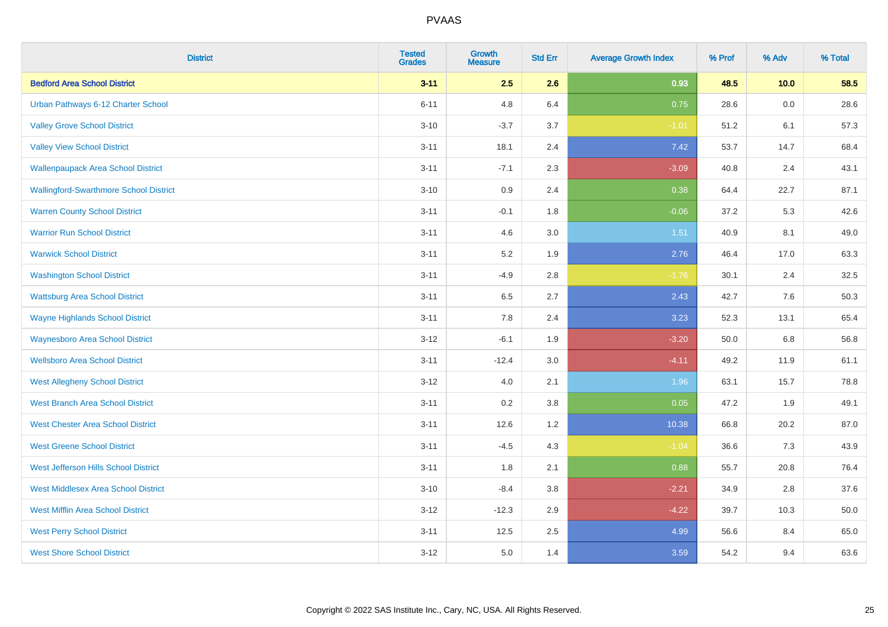| <b>District</b>                               | <b>Tested</b><br><b>Grades</b> | <b>Growth</b><br><b>Measure</b> | <b>Std Err</b> | <b>Average Growth Index</b> | % Prof | % Adv | % Total |
|-----------------------------------------------|--------------------------------|---------------------------------|----------------|-----------------------------|--------|-------|---------|
| <b>Bedford Area School District</b>           | $3 - 11$                       | 2.5                             | 2.6            | 0.93                        | 48.5   | 10.0  | 58.5    |
| Urban Pathways 6-12 Charter School            | $6 - 11$                       | 4.8                             | 6.4            | 0.75                        | 28.6   | 0.0   | 28.6    |
| <b>Valley Grove School District</b>           | $3 - 10$                       | $-3.7$                          | 3.7            | $-1.01$                     | 51.2   | 6.1   | 57.3    |
| <b>Valley View School District</b>            | $3 - 11$                       | 18.1                            | 2.4            | 7.42                        | 53.7   | 14.7  | 68.4    |
| <b>Wallenpaupack Area School District</b>     | $3 - 11$                       | $-7.1$                          | 2.3            | $-3.09$                     | 40.8   | 2.4   | 43.1    |
| <b>Wallingford-Swarthmore School District</b> | $3 - 10$                       | $0.9\,$                         | 2.4            | 0.38                        | 64.4   | 22.7  | 87.1    |
| <b>Warren County School District</b>          | $3 - 11$                       | $-0.1$                          | 1.8            | $-0.06$                     | 37.2   | 5.3   | 42.6    |
| <b>Warrior Run School District</b>            | $3 - 11$                       | 4.6                             | 3.0            | 1.51                        | 40.9   | 8.1   | 49.0    |
| <b>Warwick School District</b>                | $3 - 11$                       | 5.2                             | 1.9            | 2.76                        | 46.4   | 17.0  | 63.3    |
| <b>Washington School District</b>             | $3 - 11$                       | $-4.9$                          | 2.8            | $-1.76$                     | 30.1   | 2.4   | 32.5    |
| <b>Wattsburg Area School District</b>         | $3 - 11$                       | 6.5                             | 2.7            | 2.43                        | 42.7   | 7.6   | 50.3    |
| <b>Wayne Highlands School District</b>        | $3 - 11$                       | 7.8                             | 2.4            | 3.23                        | 52.3   | 13.1  | 65.4    |
| <b>Waynesboro Area School District</b>        | $3 - 12$                       | $-6.1$                          | 1.9            | $-3.20$                     | 50.0   | 6.8   | 56.8    |
| <b>Wellsboro Area School District</b>         | $3 - 11$                       | $-12.4$                         | 3.0            | $-4.11$                     | 49.2   | 11.9  | 61.1    |
| <b>West Allegheny School District</b>         | $3 - 12$                       | 4.0                             | 2.1            | 1.96                        | 63.1   | 15.7  | 78.8    |
| <b>West Branch Area School District</b>       | $3 - 11$                       | 0.2                             | 3.8            | 0.05                        | 47.2   | 1.9   | 49.1    |
| <b>West Chester Area School District</b>      | $3 - 11$                       | 12.6                            | 1.2            | 10.38                       | 66.8   | 20.2  | 87.0    |
| <b>West Greene School District</b>            | $3 - 11$                       | $-4.5$                          | 4.3            | $-1.04$                     | 36.6   | 7.3   | 43.9    |
| West Jefferson Hills School District          | $3 - 11$                       | 1.8                             | 2.1            | 0.88                        | 55.7   | 20.8  | 76.4    |
| <b>West Middlesex Area School District</b>    | $3 - 10$                       | $-8.4$                          | 3.8            | $-2.21$                     | 34.9   | 2.8   | 37.6    |
| <b>West Mifflin Area School District</b>      | $3 - 12$                       | $-12.3$                         | 2.9            | $-4.22$                     | 39.7   | 10.3  | 50.0    |
| <b>West Perry School District</b>             | $3 - 11$                       | 12.5                            | 2.5            | 4.99                        | 56.6   | 8.4   | 65.0    |
| <b>West Shore School District</b>             | $3-12$                         | 5.0                             | 1.4            | 3.59                        | 54.2   | 9.4   | 63.6    |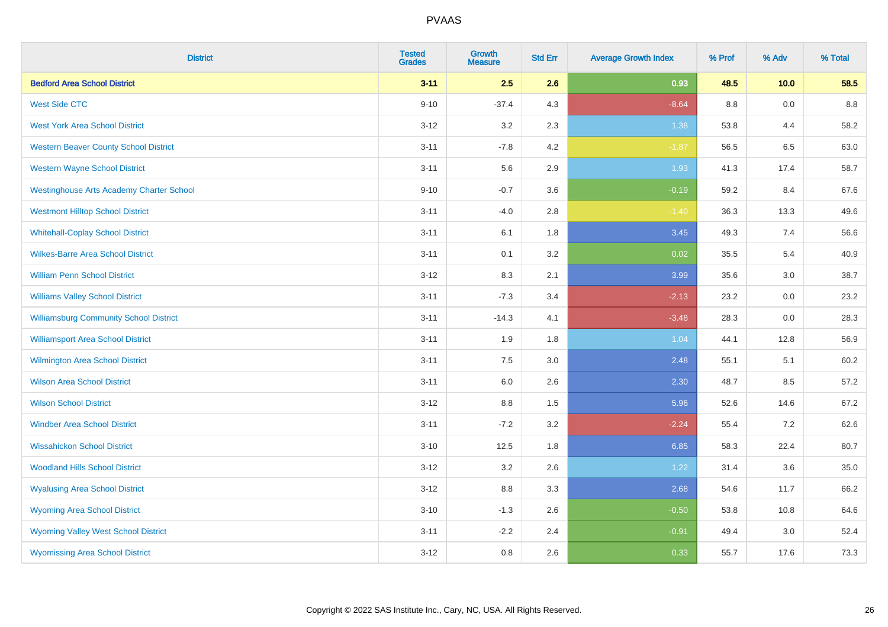| <b>District</b>                                 | <b>Tested</b><br><b>Grades</b> | <b>Growth</b><br><b>Measure</b> | <b>Std Err</b> | <b>Average Growth Index</b> | % Prof  | % Adv | % Total |
|-------------------------------------------------|--------------------------------|---------------------------------|----------------|-----------------------------|---------|-------|---------|
| <b>Bedford Area School District</b>             | $3 - 11$                       | 2.5                             | 2.6            | 0.93                        | 48.5    | 10.0  | 58.5    |
| <b>West Side CTC</b>                            | $9 - 10$                       | $-37.4$                         | 4.3            | $-8.64$                     | $8.8\,$ | 0.0   | 8.8     |
| <b>West York Area School District</b>           | $3 - 12$                       | 3.2                             | 2.3            | 1.38                        | 53.8    | 4.4   | 58.2    |
| <b>Western Beaver County School District</b>    | $3 - 11$                       | $-7.8$                          | 4.2            | $-1.87$                     | 56.5    | 6.5   | 63.0    |
| <b>Western Wayne School District</b>            | $3 - 11$                       | 5.6                             | 2.9            | 1.93                        | 41.3    | 17.4  | 58.7    |
| <b>Westinghouse Arts Academy Charter School</b> | $9 - 10$                       | $-0.7$                          | 3.6            | $-0.19$                     | 59.2    | 8.4   | 67.6    |
| <b>Westmont Hilltop School District</b>         | $3 - 11$                       | $-4.0$                          | 2.8            | $-1.40$                     | 36.3    | 13.3  | 49.6    |
| <b>Whitehall-Coplay School District</b>         | $3 - 11$                       | 6.1                             | 1.8            | 3.45                        | 49.3    | 7.4   | 56.6    |
| <b>Wilkes-Barre Area School District</b>        | $3 - 11$                       | 0.1                             | 3.2            | 0.02                        | 35.5    | 5.4   | 40.9    |
| <b>William Penn School District</b>             | $3-12$                         | 8.3                             | 2.1            | 3.99                        | 35.6    | 3.0   | 38.7    |
| <b>Williams Valley School District</b>          | $3 - 11$                       | $-7.3$                          | 3.4            | $-2.13$                     | 23.2    | 0.0   | 23.2    |
| <b>Williamsburg Community School District</b>   | $3 - 11$                       | $-14.3$                         | 4.1            | $-3.48$                     | 28.3    | 0.0   | 28.3    |
| <b>Williamsport Area School District</b>        | $3 - 11$                       | 1.9                             | 1.8            | 1.04                        | 44.1    | 12.8  | 56.9    |
| <b>Wilmington Area School District</b>          | $3 - 11$                       | 7.5                             | 3.0            | 2.48                        | 55.1    | 5.1   | 60.2    |
| <b>Wilson Area School District</b>              | $3 - 11$                       | 6.0                             | 2.6            | 2.30                        | 48.7    | 8.5   | 57.2    |
| <b>Wilson School District</b>                   | $3 - 12$                       | $8.8\,$                         | 1.5            | 5.96                        | 52.6    | 14.6  | 67.2    |
| <b>Windber Area School District</b>             | $3 - 11$                       | $-7.2$                          | 3.2            | $-2.24$                     | 55.4    | 7.2   | 62.6    |
| <b>Wissahickon School District</b>              | $3 - 10$                       | 12.5                            | 1.8            | 6.85                        | 58.3    | 22.4  | 80.7    |
| <b>Woodland Hills School District</b>           | $3 - 12$                       | 3.2                             | 2.6            | 1.22                        | 31.4    | 3.6   | 35.0    |
| <b>Wyalusing Area School District</b>           | $3-12$                         | 8.8                             | 3.3            | 2.68                        | 54.6    | 11.7  | 66.2    |
| <b>Wyoming Area School District</b>             | $3 - 10$                       | $-1.3$                          | 2.6            | $-0.50$                     | 53.8    | 10.8  | 64.6    |
| <b>Wyoming Valley West School District</b>      | $3 - 11$                       | $-2.2$                          | 2.4            | $-0.91$                     | 49.4    | 3.0   | 52.4    |
| <b>Wyomissing Area School District</b>          | $3 - 12$                       | 0.8                             | 2.6            | 0.33                        | 55.7    | 17.6  | 73.3    |